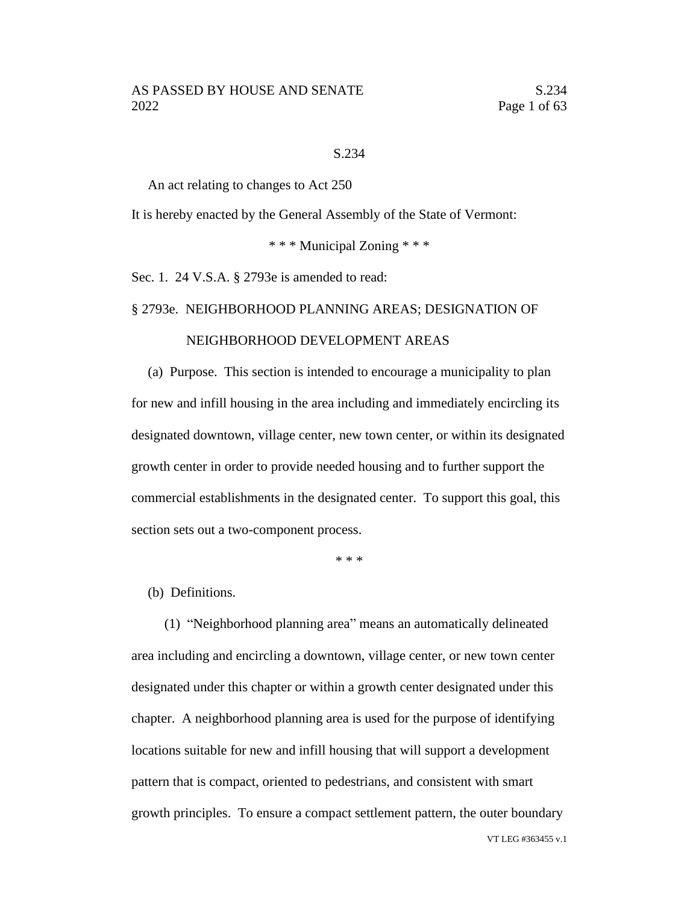### S.234

An act relating to changes to Act 250

It is hereby enacted by the General Assembly of the State of Vermont:

\* \* \* Municipal Zoning \* \* \*

Sec. 1. 24 V.S.A. § 2793e is amended to read:

### § 2793e. NEIGHBORHOOD PLANNING AREAS; DESIGNATION OF

### NEIGHBORHOOD DEVELOPMENT AREAS

(a) Purpose. This section is intended to encourage a municipality to plan for new and infill housing in the area including and immediately encircling its designated downtown, village center, new town center, or within its designated growth center in order to provide needed housing and to further support the commercial establishments in the designated center. To support this goal, this section sets out a two-component process.

\* \* \*

(b) Definitions.

(1) "Neighborhood planning area" means an automatically delineated area including and encircling a downtown, village center, or new town center designated under this chapter or within a growth center designated under this chapter. A neighborhood planning area is used for the purpose of identifying locations suitable for new and infill housing that will support a development pattern that is compact, oriented to pedestrians, and consistent with smart growth principles. To ensure a compact settlement pattern, the outer boundary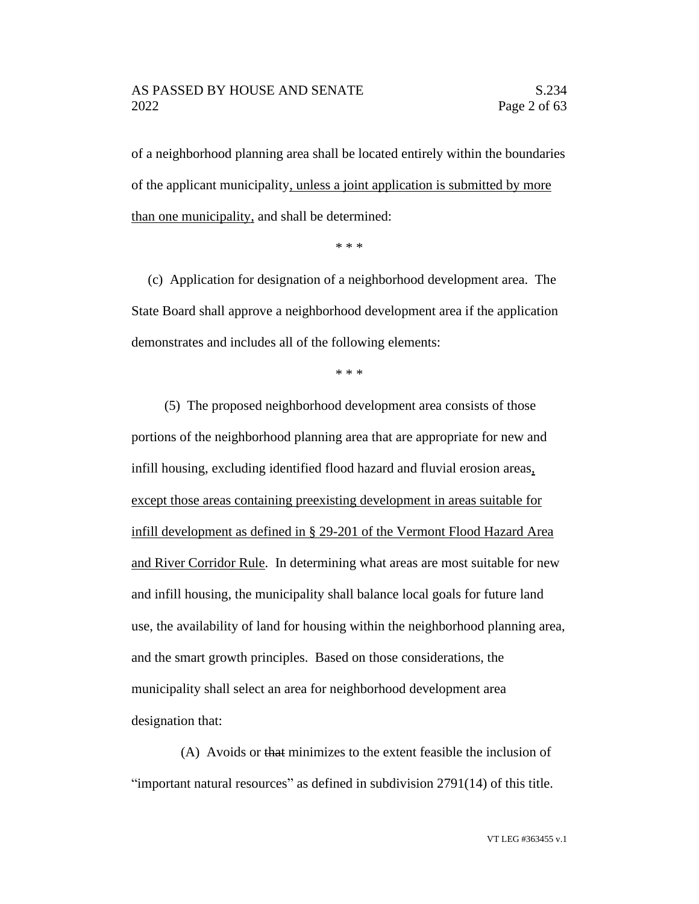### AS PASSED BY HOUSE AND SENATE S.234 2022 Page 2 of 63

of a neighborhood planning area shall be located entirely within the boundaries of the applicant municipality, unless a joint application is submitted by more than one municipality, and shall be determined:

\* \* \*

(c) Application for designation of a neighborhood development area. The State Board shall approve a neighborhood development area if the application demonstrates and includes all of the following elements:

\* \* \*

(5) The proposed neighborhood development area consists of those portions of the neighborhood planning area that are appropriate for new and infill housing, excluding identified flood hazard and fluvial erosion areas, except those areas containing preexisting development in areas suitable for infill development as defined in § 29-201 of the Vermont Flood Hazard Area and River Corridor Rule. In determining what areas are most suitable for new and infill housing, the municipality shall balance local goals for future land use, the availability of land for housing within the neighborhood planning area, and the smart growth principles. Based on those considerations, the municipality shall select an area for neighborhood development area designation that:

(A) Avoids or that minimizes to the extent feasible the inclusion of "important natural resources" as defined in subdivision 2791(14) of this title.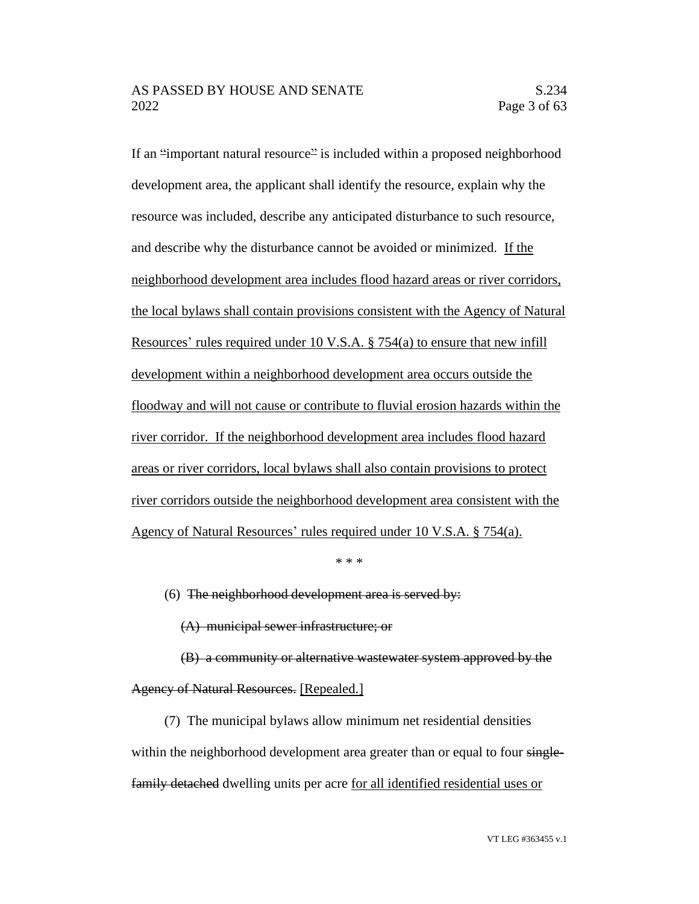If an "important natural resource" is included within a proposed neighborhood development area, the applicant shall identify the resource, explain why the resource was included, describe any anticipated disturbance to such resource, and describe why the disturbance cannot be avoided or minimized. If the neighborhood development area includes flood hazard areas or river corridors, the local bylaws shall contain provisions consistent with the Agency of Natural Resources' rules required under 10 V.S.A. § 754(a) to ensure that new infill development within a neighborhood development area occurs outside the floodway and will not cause or contribute to fluvial erosion hazards within the river corridor. If the neighborhood development area includes flood hazard areas or river corridors, local bylaws shall also contain provisions to protect river corridors outside the neighborhood development area consistent with the Agency of Natural Resources' rules required under 10 V.S.A. § 754(a).

\* \* \*

(6) The neighborhood development area is served by:

(A) municipal sewer infrastructure; or

(B) a community or alternative wastewater system approved by the Agency of Natural Resources. [Repealed.]

(7) The municipal bylaws allow minimum net residential densities within the neighborhood development area greater than or equal to four singlefamily detached dwelling units per acre for all identified residential uses or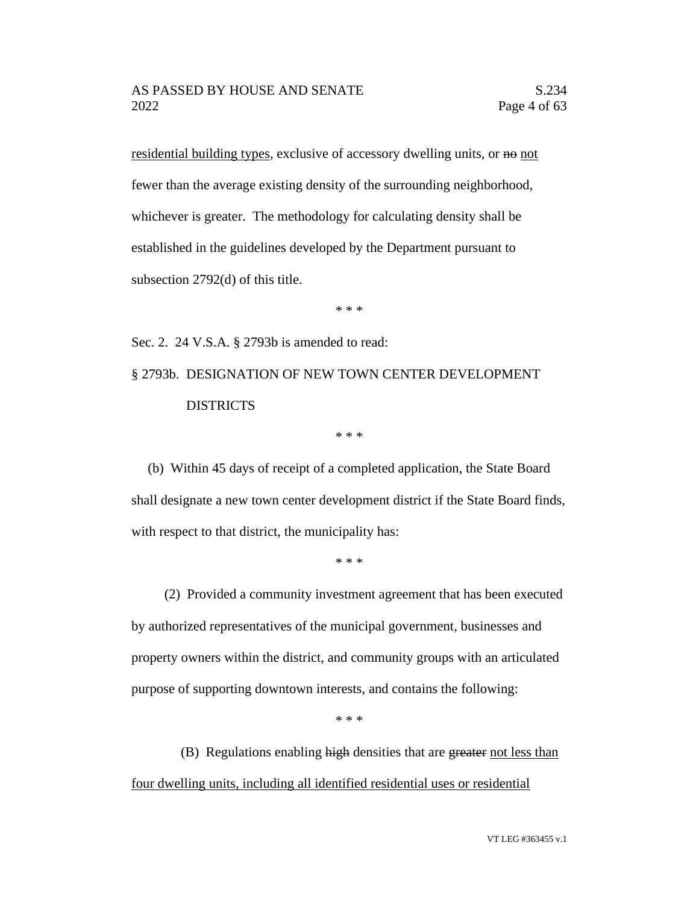residential building types, exclusive of accessory dwelling units, or no not fewer than the average existing density of the surrounding neighborhood, whichever is greater. The methodology for calculating density shall be established in the guidelines developed by the Department pursuant to subsection 2792(d) of this title.

\* \* \*

Sec. 2. 24 V.S.A. § 2793b is amended to read:

§ 2793b. DESIGNATION OF NEW TOWN CENTER DEVELOPMENT DISTRICTS

\* \* \*

(b) Within 45 days of receipt of a completed application, the State Board shall designate a new town center development district if the State Board finds, with respect to that district, the municipality has:

\* \* \*

(2) Provided a community investment agreement that has been executed by authorized representatives of the municipal government, businesses and property owners within the district, and community groups with an articulated purpose of supporting downtown interests, and contains the following:

\* \* \*

(B) Regulations enabling high densities that are greater not less than four dwelling units, including all identified residential uses or residential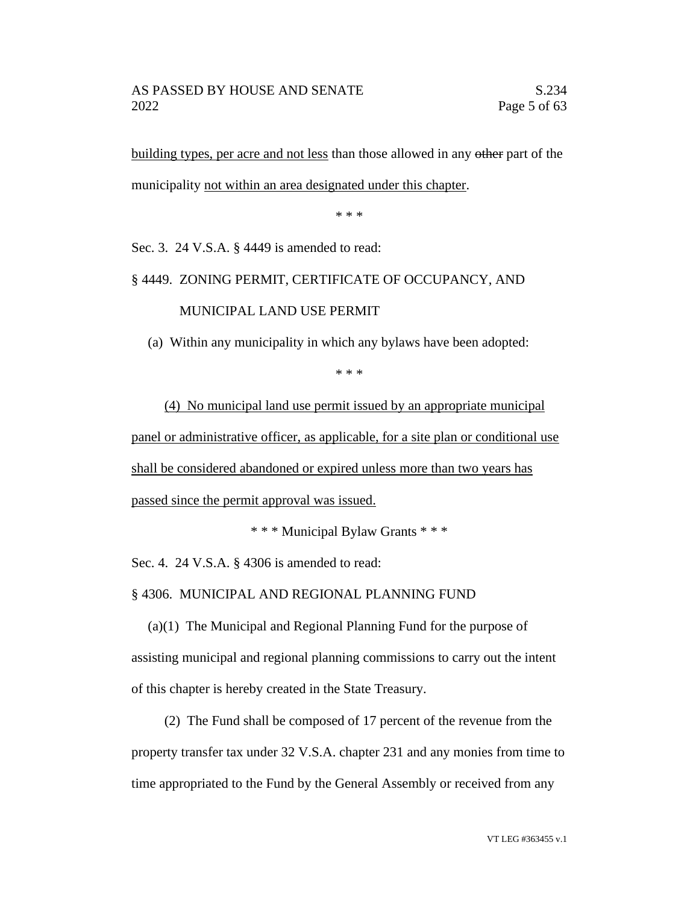building types, per acre and not less than those allowed in any other part of the municipality not within an area designated under this chapter.

\* \* \*

Sec. 3. 24 V.S.A. § 4449 is amended to read:

## § 4449. ZONING PERMIT, CERTIFICATE OF OCCUPANCY, AND

MUNICIPAL LAND USE PERMIT

(a) Within any municipality in which any bylaws have been adopted:

\* \* \*

(4) No municipal land use permit issued by an appropriate municipal panel or administrative officer, as applicable, for a site plan or conditional use shall be considered abandoned or expired unless more than two years has passed since the permit approval was issued.

\* \* \* Municipal Bylaw Grants \* \* \*

Sec. 4. 24 V.S.A. § 4306 is amended to read:

§ 4306. MUNICIPAL AND REGIONAL PLANNING FUND

(a)(1) The Municipal and Regional Planning Fund for the purpose of assisting municipal and regional planning commissions to carry out the intent of this chapter is hereby created in the State Treasury.

(2) The Fund shall be composed of 17 percent of the revenue from the property transfer tax under 32 V.S.A. chapter 231 and any monies from time to time appropriated to the Fund by the General Assembly or received from any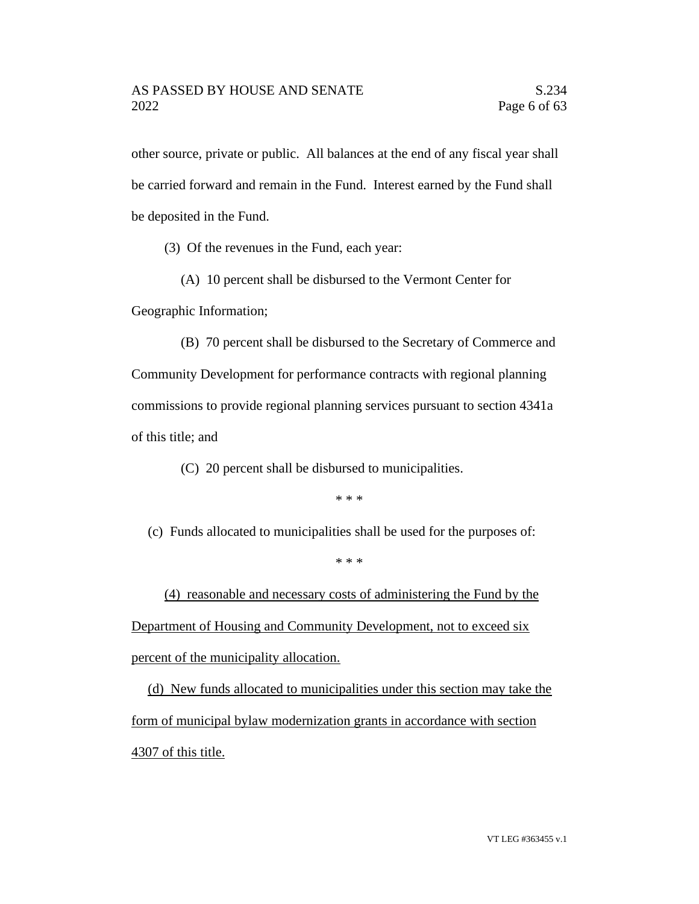other source, private or public. All balances at the end of any fiscal year shall be carried forward and remain in the Fund. Interest earned by the Fund shall be deposited in the Fund.

(3) Of the revenues in the Fund, each year:

(A) 10 percent shall be disbursed to the Vermont Center for

Geographic Information;

(B) 70 percent shall be disbursed to the Secretary of Commerce and Community Development for performance contracts with regional planning commissions to provide regional planning services pursuant to section 4341a of this title; and

(C) 20 percent shall be disbursed to municipalities.

\* \* \*

(c) Funds allocated to municipalities shall be used for the purposes of:

\* \* \*

(4) reasonable and necessary costs of administering the Fund by the Department of Housing and Community Development, not to exceed six percent of the municipality allocation.

(d) New funds allocated to municipalities under this section may take the form of municipal bylaw modernization grants in accordance with section 4307 of this title.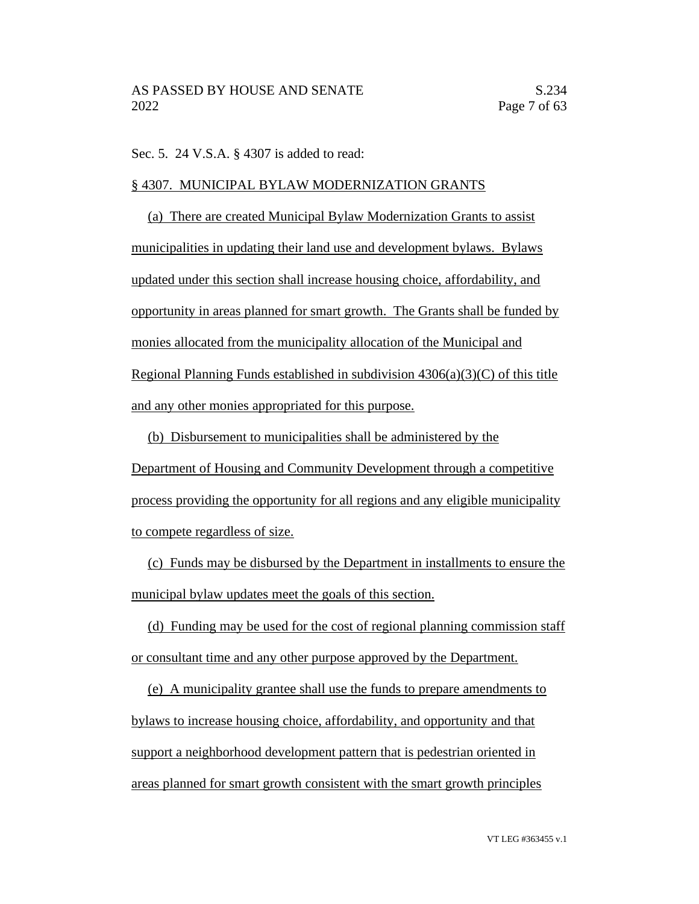Sec. 5. 24 V.S.A. § 4307 is added to read:

# § 4307. MUNICIPAL BYLAW MODERNIZATION GRANTS

(a) There are created Municipal Bylaw Modernization Grants to assist municipalities in updating their land use and development bylaws. Bylaws updated under this section shall increase housing choice, affordability, and opportunity in areas planned for smart growth. The Grants shall be funded by monies allocated from the municipality allocation of the Municipal and Regional Planning Funds established in subdivision  $4306(a)(3)(C)$  of this title and any other monies appropriated for this purpose.

(b) Disbursement to municipalities shall be administered by the Department of Housing and Community Development through a competitive process providing the opportunity for all regions and any eligible municipality to compete regardless of size.

(c) Funds may be disbursed by the Department in installments to ensure the municipal bylaw updates meet the goals of this section.

(d) Funding may be used for the cost of regional planning commission staff or consultant time and any other purpose approved by the Department.

(e) A municipality grantee shall use the funds to prepare amendments to bylaws to increase housing choice, affordability, and opportunity and that support a neighborhood development pattern that is pedestrian oriented in areas planned for smart growth consistent with the smart growth principles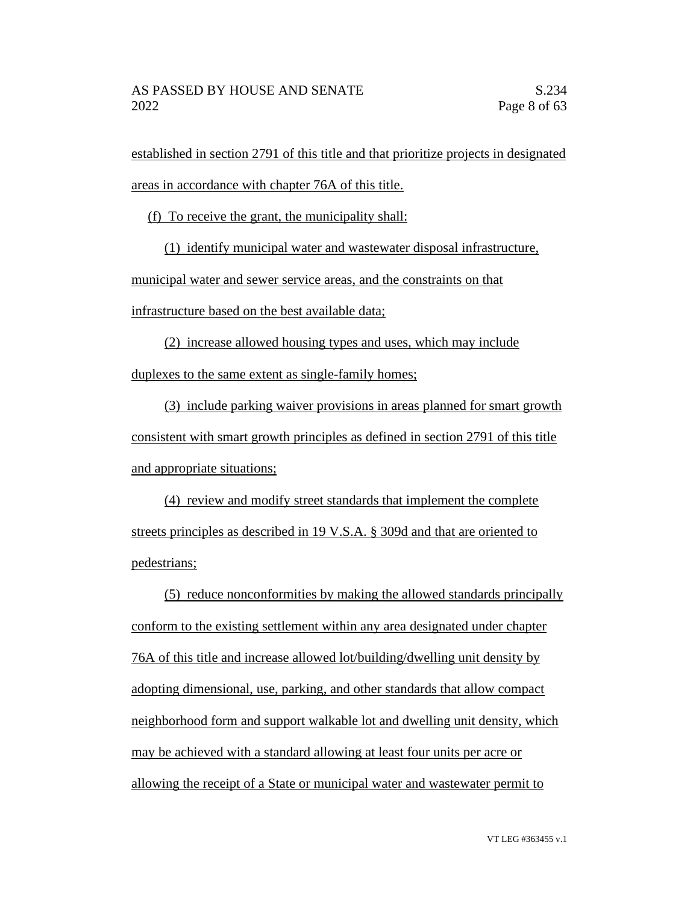established in section 2791 of this title and that prioritize projects in designated areas in accordance with chapter 76A of this title.

(f) To receive the grant, the municipality shall:

(1) identify municipal water and wastewater disposal infrastructure,

municipal water and sewer service areas, and the constraints on that

infrastructure based on the best available data;

(2) increase allowed housing types and uses, which may include duplexes to the same extent as single-family homes;

(3) include parking waiver provisions in areas planned for smart growth consistent with smart growth principles as defined in section 2791 of this title and appropriate situations;

(4) review and modify street standards that implement the complete streets principles as described in 19 V.S.A. § 309d and that are oriented to pedestrians;

(5) reduce nonconformities by making the allowed standards principally conform to the existing settlement within any area designated under chapter 76A of this title and increase allowed lot/building/dwelling unit density by adopting dimensional, use, parking, and other standards that allow compact neighborhood form and support walkable lot and dwelling unit density, which may be achieved with a standard allowing at least four units per acre or allowing the receipt of a State or municipal water and wastewater permit to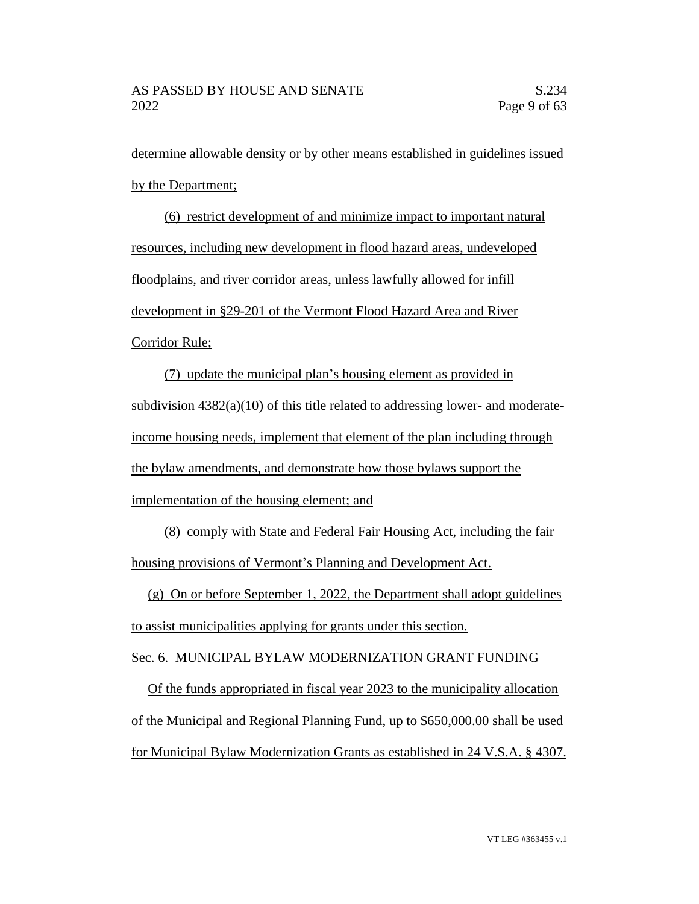determine allowable density or by other means established in guidelines issued by the Department;

(6) restrict development of and minimize impact to important natural resources, including new development in flood hazard areas, undeveloped floodplains, and river corridor areas, unless lawfully allowed for infill development in §29-201 of the Vermont Flood Hazard Area and River Corridor Rule;

(7) update the municipal plan's housing element as provided in subdivision  $4382(a)(10)$  of this title related to addressing lower- and moderateincome housing needs, implement that element of the plan including through the bylaw amendments, and demonstrate how those bylaws support the implementation of the housing element; and

(8) comply with State and Federal Fair Housing Act, including the fair housing provisions of Vermont's Planning and Development Act.

(g) On or before September 1, 2022, the Department shall adopt guidelines to assist municipalities applying for grants under this section.

Sec. 6. MUNICIPAL BYLAW MODERNIZATION GRANT FUNDING

Of the funds appropriated in fiscal year 2023 to the municipality allocation of the Municipal and Regional Planning Fund, up to \$650,000.00 shall be used for Municipal Bylaw Modernization Grants as established in 24 V.S.A. § 4307.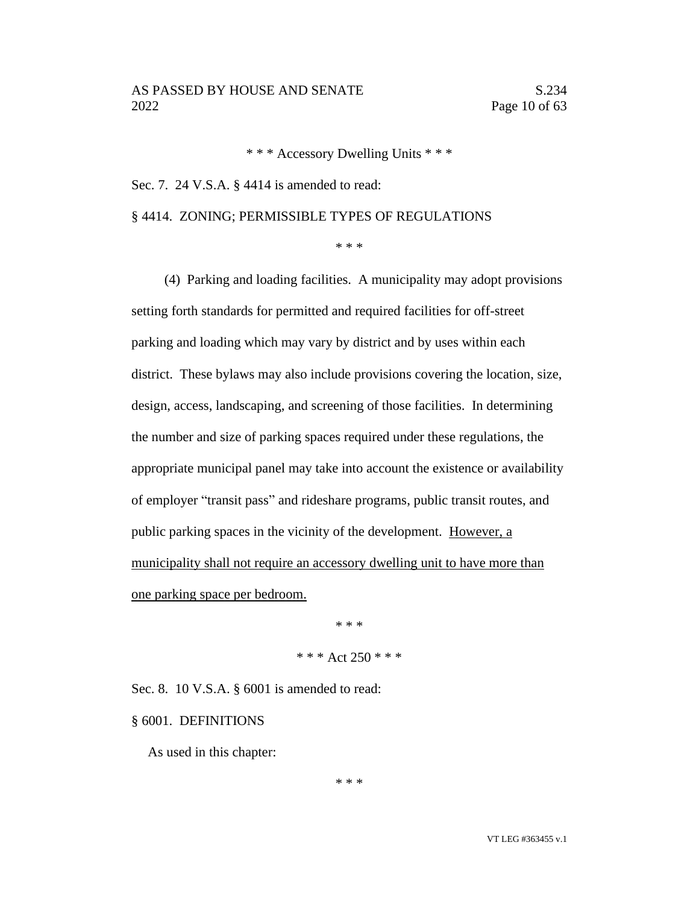\* \* \* Accessory Dwelling Units \* \* \*

Sec. 7. 24 V.S.A. § 4414 is amended to read:

§ 4414. ZONING; PERMISSIBLE TYPES OF REGULATIONS

\* \* \*

(4) Parking and loading facilities. A municipality may adopt provisions setting forth standards for permitted and required facilities for off-street parking and loading which may vary by district and by uses within each district. These bylaws may also include provisions covering the location, size, design, access, landscaping, and screening of those facilities. In determining the number and size of parking spaces required under these regulations, the appropriate municipal panel may take into account the existence or availability of employer "transit pass" and rideshare programs, public transit routes, and public parking spaces in the vicinity of the development. However, a municipality shall not require an accessory dwelling unit to have more than one parking space per bedroom.

> \* \* \* \* \* \* Act 250 \* \* \*

Sec. 8. 10 V.S.A. § 6001 is amended to read:

§ 6001. DEFINITIONS

As used in this chapter:

\* \* \*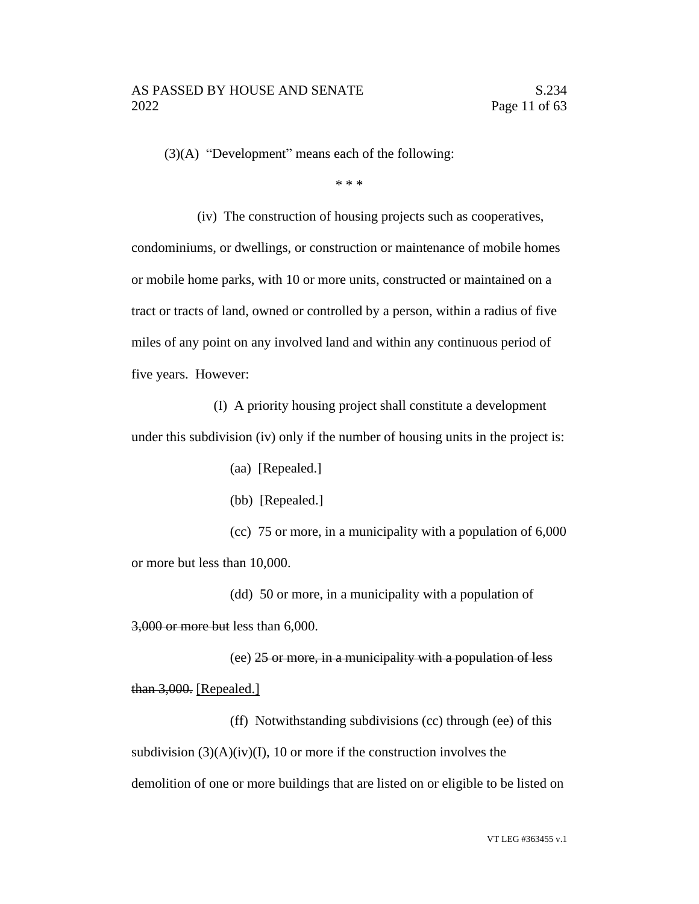(3)(A) "Development" means each of the following:

\* \* \*

(iv) The construction of housing projects such as cooperatives, condominiums, or dwellings, or construction or maintenance of mobile homes or mobile home parks, with 10 or more units, constructed or maintained on a tract or tracts of land, owned or controlled by a person, within a radius of five miles of any point on any involved land and within any continuous period of five years. However:

(I) A priority housing project shall constitute a development under this subdivision (iv) only if the number of housing units in the project is:

(aa) [Repealed.]

(bb) [Repealed.]

(cc) 75 or more, in a municipality with a population of 6,000 or more but less than 10,000.

(dd) 50 or more, in a municipality with a population of 3,000 or more but less than 6,000.

(ee) 25 or more, in a municipality with a population of less than 3,000. [Repealed.]

(ff) Notwithstanding subdivisions (cc) through (ee) of this subdivision  $(3)(A)(iv)(I)$ , 10 or more if the construction involves the demolition of one or more buildings that are listed on or eligible to be listed on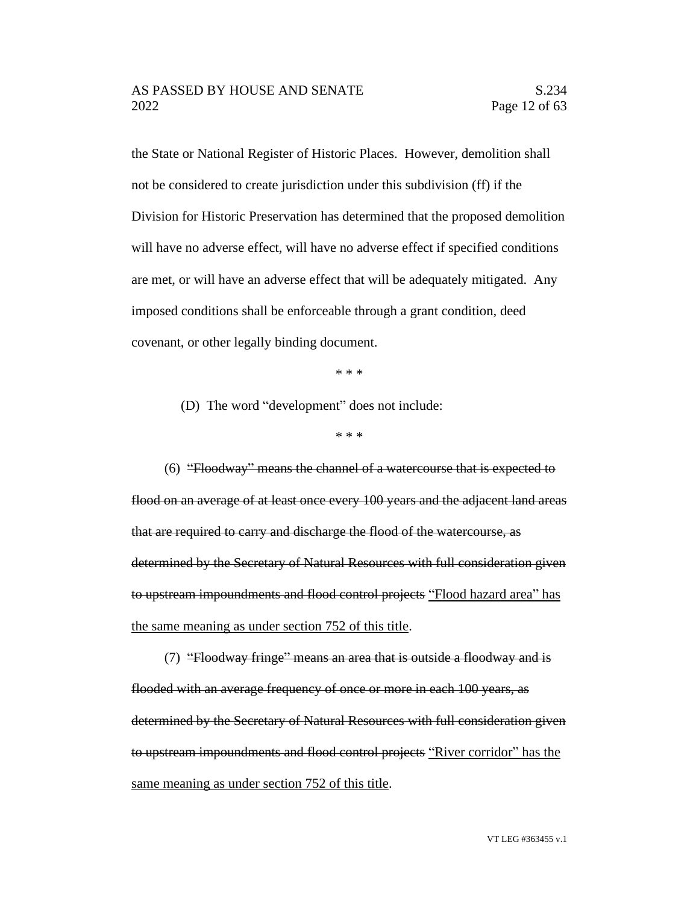the State or National Register of Historic Places. However, demolition shall not be considered to create jurisdiction under this subdivision (ff) if the Division for Historic Preservation has determined that the proposed demolition will have no adverse effect, will have no adverse effect if specified conditions are met, or will have an adverse effect that will be adequately mitigated. Any imposed conditions shall be enforceable through a grant condition, deed covenant, or other legally binding document.

\* \* \*

(D) The word "development" does not include:

\* \* \*

(6) "Floodway" means the channel of a watercourse that is expected to flood on an average of at least once every 100 years and the adjacent land areas that are required to carry and discharge the flood of the watercourse, as determined by the Secretary of Natural Resources with full consideration given to upstream impoundments and flood control projects "Flood hazard area" has the same meaning as under section 752 of this title.

(7) "Floodway fringe" means an area that is outside a floodway and is flooded with an average frequency of once or more in each 100 years, as determined by the Secretary of Natural Resources with full consideration given to upstream impoundments and flood control projects "River corridor" has the same meaning as under section 752 of this title.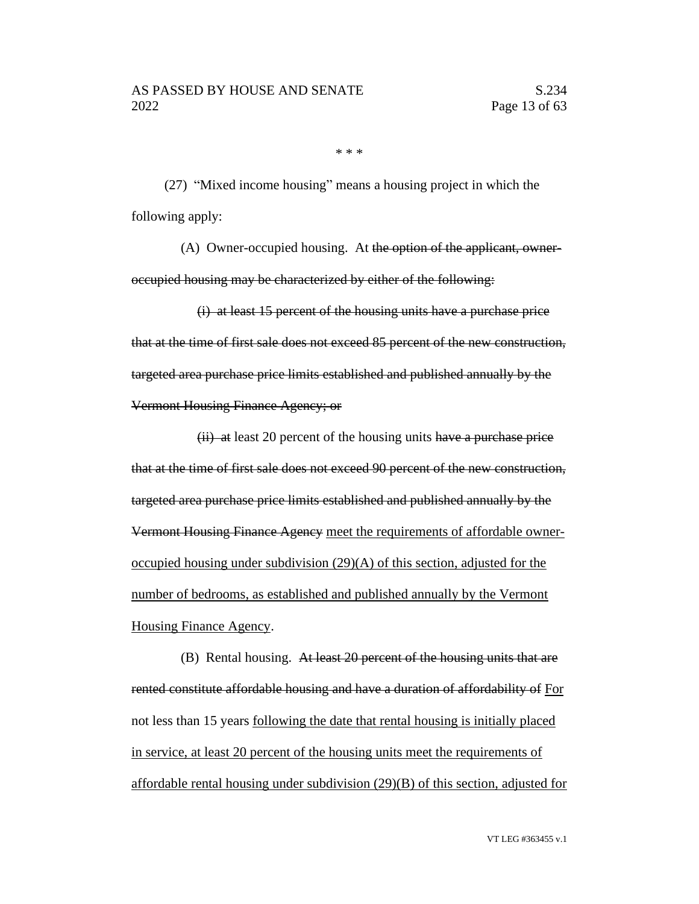\* \* \*

(27) "Mixed income housing" means a housing project in which the following apply:

(A) Owner-occupied housing. At the option of the applicant, owneroccupied housing may be characterized by either of the following:

(i) at least 15 percent of the housing units have a purchase price that at the time of first sale does not exceed 85 percent of the new construction, targeted area purchase price limits established and published annually by the Vermont Housing Finance Agency; or

 $(ii)$  at least 20 percent of the housing units have a purchase price that at the time of first sale does not exceed 90 percent of the new construction, targeted area purchase price limits established and published annually by the Vermont Housing Finance Agency meet the requirements of affordable owneroccupied housing under subdivision  $(29)(A)$  of this section, adjusted for the number of bedrooms, as established and published annually by the Vermont Housing Finance Agency.

(B) Rental housing. At least 20 percent of the housing units that are rented constitute affordable housing and have a duration of affordability of For not less than 15 years following the date that rental housing is initially placed in service, at least 20 percent of the housing units meet the requirements of affordable rental housing under subdivision (29)(B) of this section, adjusted for

VT LEG #363455 v.1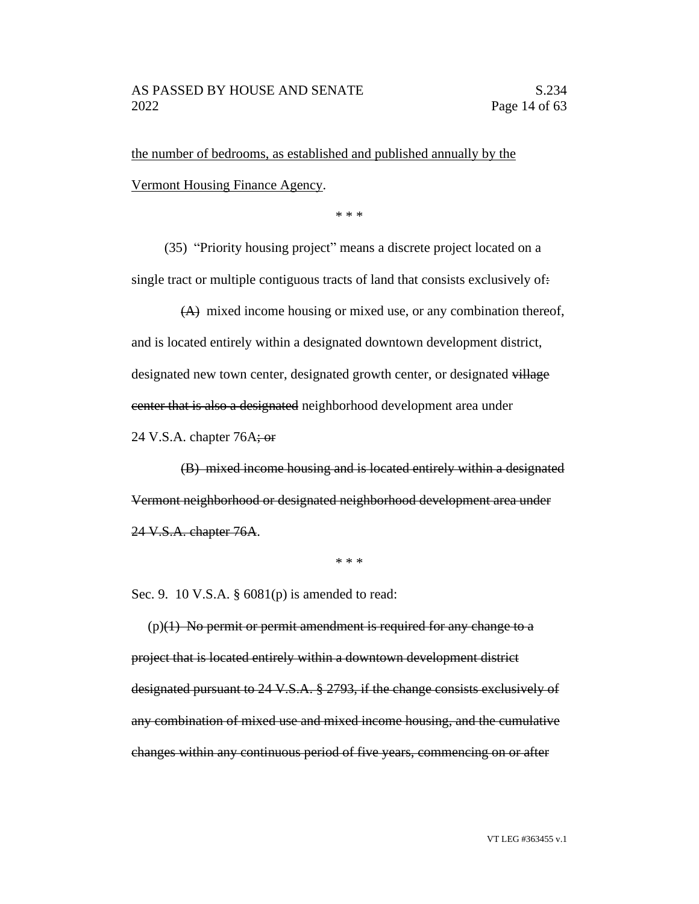the number of bedrooms, as established and published annually by the Vermont Housing Finance Agency.

\* \* \*

(35) "Priority housing project" means a discrete project located on a single tract or multiple contiguous tracts of land that consists exclusively of:

(A) mixed income housing or mixed use, or any combination thereof, and is located entirely within a designated downtown development district, designated new town center, designated growth center, or designated village center that is also a designated neighborhood development area under

24 V.S.A. chapter  $76A$ ; or

(B) mixed income housing and is located entirely within a designated Vermont neighborhood or designated neighborhood development area under 24 V.S.A. chapter 76A.

\* \* \*

Sec. 9. 10 V.S.A. § 6081(p) is amended to read:

 $(p)(1)$  No permit or permit amendment is required for any change to a project that is located entirely within a downtown development district designated pursuant to 24 V.S.A. § 2793, if the change consists exclusively of any combination of mixed use and mixed income housing, and the cumulative changes within any continuous period of five years, commencing on or after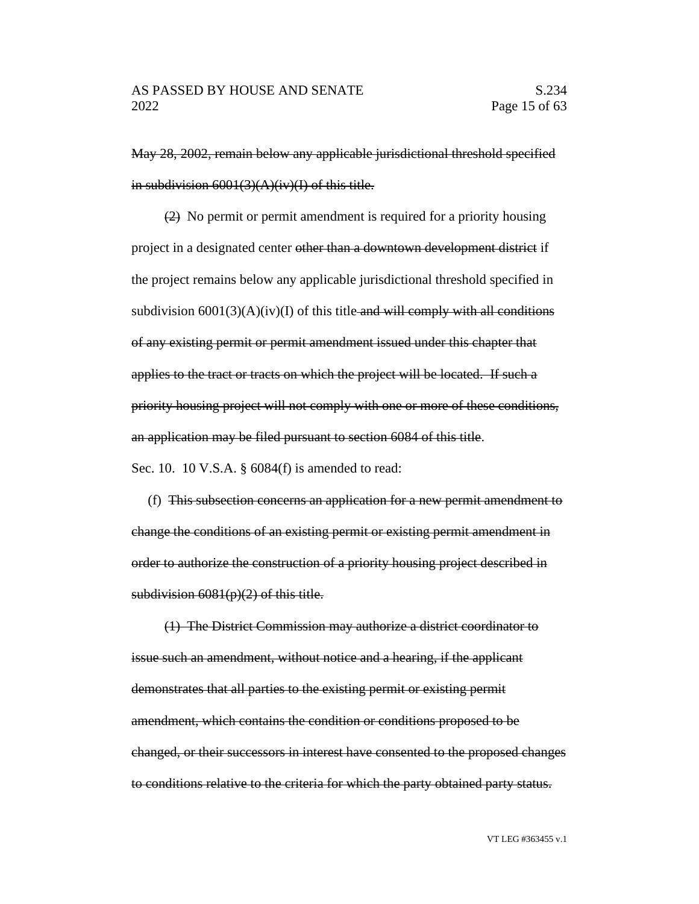May 28, 2002, remain below any applicable jurisdictional threshold specified in subdivision  $6001(3)(A)(iv)(I)$  of this title.

(2) No permit or permit amendment is required for a priority housing project in a designated center other than a downtown development district if the project remains below any applicable jurisdictional threshold specified in subdivision  $6001(3)(A)(iv)(I)$  of this title-and will comply with all conditions of any existing permit or permit amendment issued under this chapter that applies to the tract or tracts on which the project will be located. If such a priority housing project will not comply with one or more of these conditions, an application may be filed pursuant to section 6084 of this title.

Sec. 10. 10 V.S.A. § 6084(f) is amended to read:

(f) This subsection concerns an application for a new permit amendment to change the conditions of an existing permit or existing permit amendment in order to authorize the construction of a priority housing project described in subdivision  $6081(p)(2)$  of this title.

(1) The District Commission may authorize a district coordinator to issue such an amendment, without notice and a hearing, if the applicant demonstrates that all parties to the existing permit or existing permit amendment, which contains the condition or conditions proposed to be changed, or their successors in interest have consented to the proposed changes to conditions relative to the criteria for which the party obtained party status.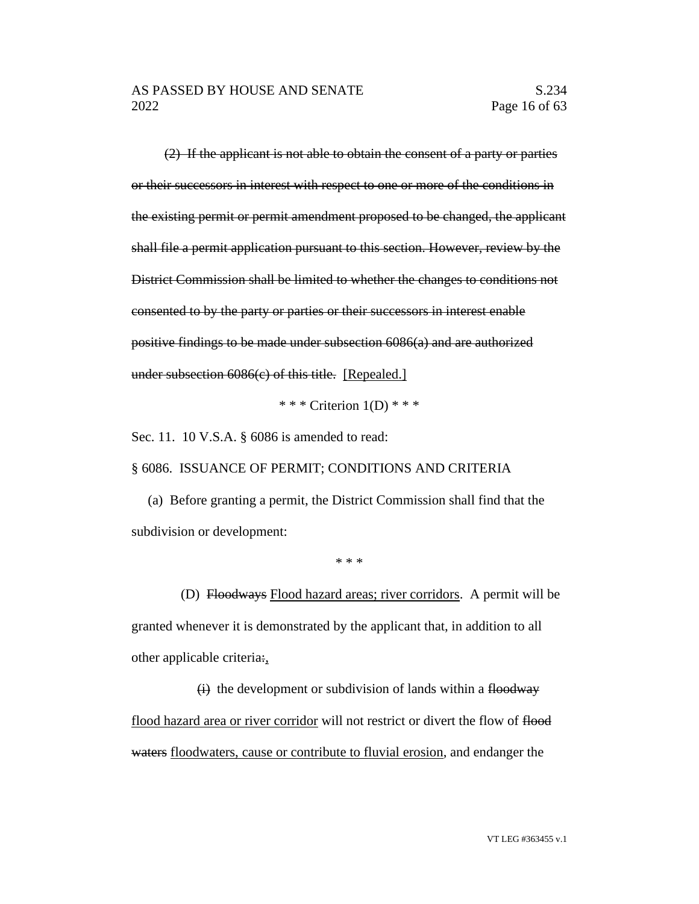(2) If the applicant is not able to obtain the consent of a party or parties or their successors in interest with respect to one or more of the conditions in the existing permit or permit amendment proposed to be changed, the applicant shall file a permit application pursuant to this section. However, review by the District Commission shall be limited to whether the changes to conditions not consented to by the party or parties or their successors in interest enable positive findings to be made under subsection 6086(a) and are authorized under subsection 6086(c) of this title. [Repealed.]

\* \* \* Criterion  $1(D)$  \* \* \*

Sec. 11. 10 V.S.A. § 6086 is amended to read:

§ 6086. ISSUANCE OF PERMIT; CONDITIONS AND CRITERIA

(a) Before granting a permit, the District Commission shall find that the subdivision or development:

\* \* \*

(D) Floodways Flood hazard areas; river corridors. A permit will be granted whenever it is demonstrated by the applicant that, in addition to all other applicable criteria:,

 $(i)$  the development or subdivision of lands within a floodway flood hazard area or river corridor will not restrict or divert the flow of flood waters floodwaters, cause or contribute to fluvial erosion, and endanger the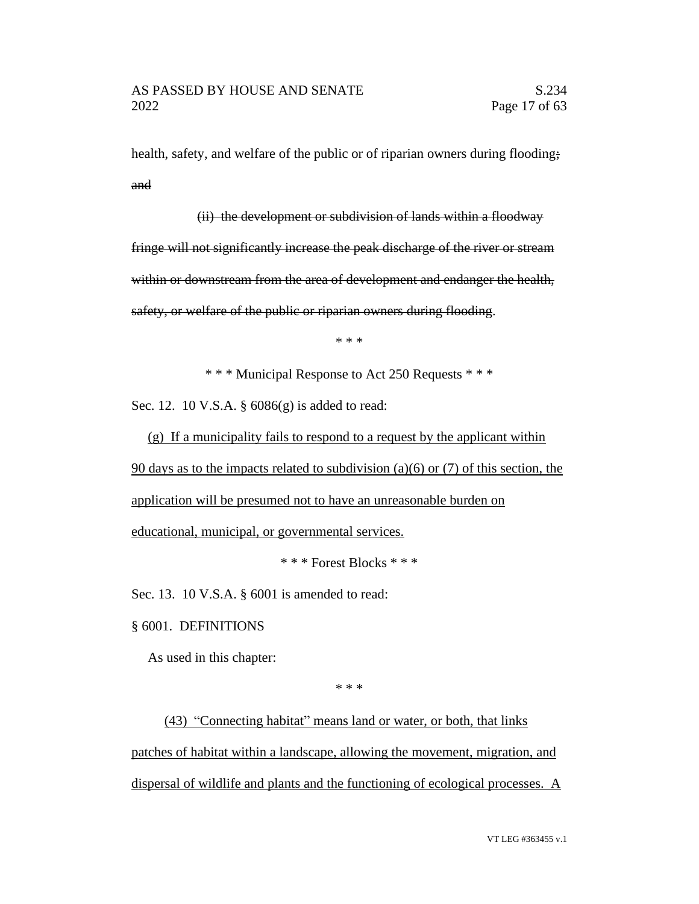health, safety, and welfare of the public or of riparian owners during flooding; and

(ii) the development or subdivision of lands within a floodway fringe will not significantly increase the peak discharge of the river or stream within or downstream from the area of development and endanger the health, safety, or welfare of the public or riparian owners during flooding.

\* \* \*

\* \* \* Municipal Response to Act 250 Requests \* \* \*

Sec. 12. 10 V.S.A. § 6086(g) is added to read:

(g) If a municipality fails to respond to a request by the applicant within

90 days as to the impacts related to subdivision (a)(6) or (7) of this section, the

application will be presumed not to have an unreasonable burden on

educational, municipal, or governmental services.

\* \* \* Forest Blocks \* \* \*

Sec. 13. 10 V.S.A. § 6001 is amended to read:

§ 6001. DEFINITIONS

As used in this chapter:

\* \* \*

(43) "Connecting habitat" means land or water, or both, that links patches of habitat within a landscape, allowing the movement, migration, and dispersal of wildlife and plants and the functioning of ecological processes. A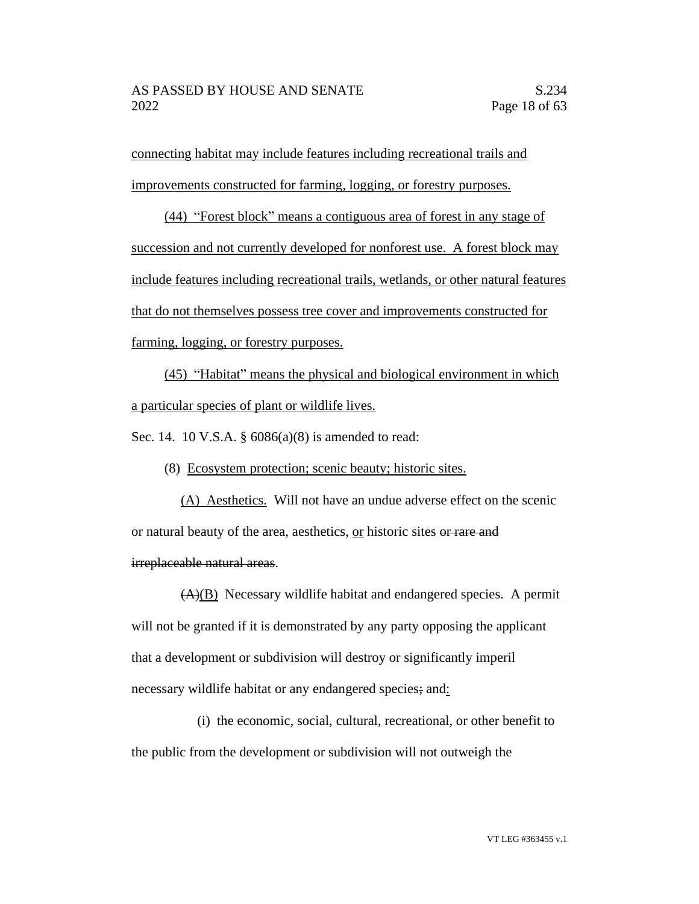connecting habitat may include features including recreational trails and improvements constructed for farming, logging, or forestry purposes.

(44) "Forest block" means a contiguous area of forest in any stage of succession and not currently developed for nonforest use. A forest block may include features including recreational trails, wetlands, or other natural features that do not themselves possess tree cover and improvements constructed for farming, logging, or forestry purposes.

(45) "Habitat" means the physical and biological environment in which a particular species of plant or wildlife lives.

Sec. 14. 10 V.S.A. § 6086(a)(8) is amended to read:

(8) Ecosystem protection; scenic beauty; historic sites.

(A) Aesthetics. Will not have an undue adverse effect on the scenic or natural beauty of the area, aesthetics, or historic sites or rare and irreplaceable natural areas.

 $(A)(B)$  Necessary wildlife habitat and endangered species. A permit will not be granted if it is demonstrated by any party opposing the applicant that a development or subdivision will destroy or significantly imperil necessary wildlife habitat or any endangered species; and:

(i) the economic, social, cultural, recreational, or other benefit to the public from the development or subdivision will not outweigh the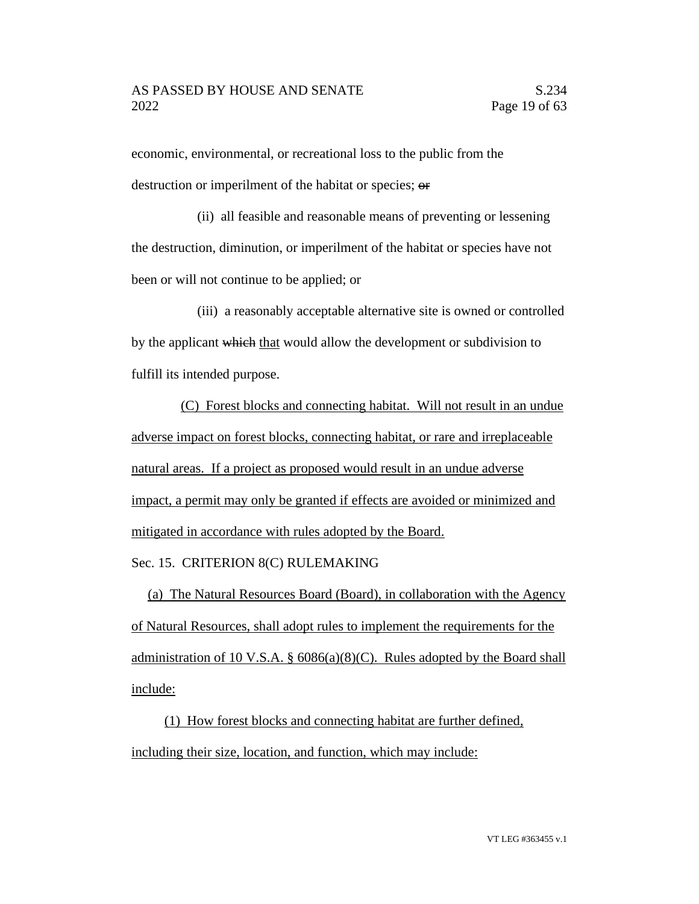economic, environmental, or recreational loss to the public from the destruction or imperilment of the habitat or species; or

(ii) all feasible and reasonable means of preventing or lessening the destruction, diminution, or imperilment of the habitat or species have not been or will not continue to be applied; or

(iii) a reasonably acceptable alternative site is owned or controlled by the applicant which that would allow the development or subdivision to fulfill its intended purpose.

(C) Forest blocks and connecting habitat. Will not result in an undue adverse impact on forest blocks, connecting habitat, or rare and irreplaceable natural areas. If a project as proposed would result in an undue adverse impact, a permit may only be granted if effects are avoided or minimized and mitigated in accordance with rules adopted by the Board.

# Sec. 15. CRITERION 8(C) RULEMAKING

(a) The Natural Resources Board (Board), in collaboration with the Agency of Natural Resources, shall adopt rules to implement the requirements for the administration of 10 V.S.A. §  $6086(a)(8)(C)$ . Rules adopted by the Board shall include:

(1) How forest blocks and connecting habitat are further defined, including their size, location, and function, which may include: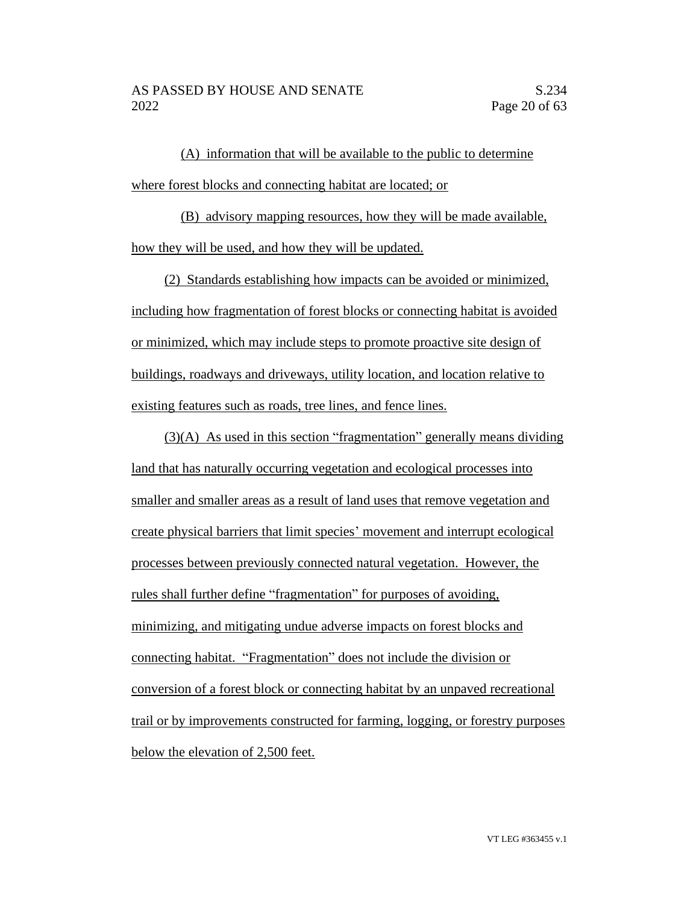(A) information that will be available to the public to determine where forest blocks and connecting habitat are located; or

(B) advisory mapping resources, how they will be made available, how they will be used, and how they will be updated.

(2) Standards establishing how impacts can be avoided or minimized, including how fragmentation of forest blocks or connecting habitat is avoided or minimized, which may include steps to promote proactive site design of buildings, roadways and driveways, utility location, and location relative to existing features such as roads, tree lines, and fence lines.

(3)(A) As used in this section "fragmentation" generally means dividing land that has naturally occurring vegetation and ecological processes into smaller and smaller areas as a result of land uses that remove vegetation and create physical barriers that limit species' movement and interrupt ecological processes between previously connected natural vegetation. However, the rules shall further define "fragmentation" for purposes of avoiding, minimizing, and mitigating undue adverse impacts on forest blocks and connecting habitat. "Fragmentation" does not include the division or conversion of a forest block or connecting habitat by an unpaved recreational trail or by improvements constructed for farming, logging, or forestry purposes below the elevation of 2,500 feet.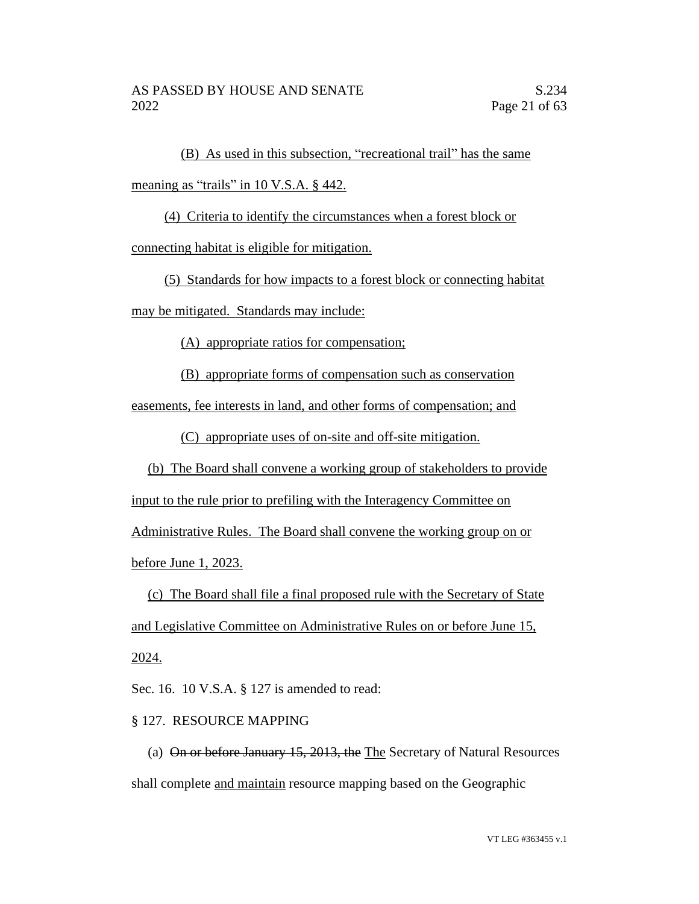(B) As used in this subsection, "recreational trail" has the same meaning as "trails" in 10 V.S.A. § 442.

(4) Criteria to identify the circumstances when a forest block or

connecting habitat is eligible for mitigation.

(5) Standards for how impacts to a forest block or connecting habitat

may be mitigated. Standards may include:

(A) appropriate ratios for compensation;

(B) appropriate forms of compensation such as conservation

easements, fee interests in land, and other forms of compensation; and

(C) appropriate uses of on-site and off-site mitigation.

(b) The Board shall convene a working group of stakeholders to provide

input to the rule prior to prefiling with the Interagency Committee on

Administrative Rules. The Board shall convene the working group on or before June 1, 2023.

(c) The Board shall file a final proposed rule with the Secretary of State and Legislative Committee on Administrative Rules on or before June 15, 2024.

Sec. 16. 10 V.S.A. § 127 is amended to read:

# § 127. RESOURCE MAPPING

(a) On or before January 15, 2013, the The Secretary of Natural Resources shall complete and maintain resource mapping based on the Geographic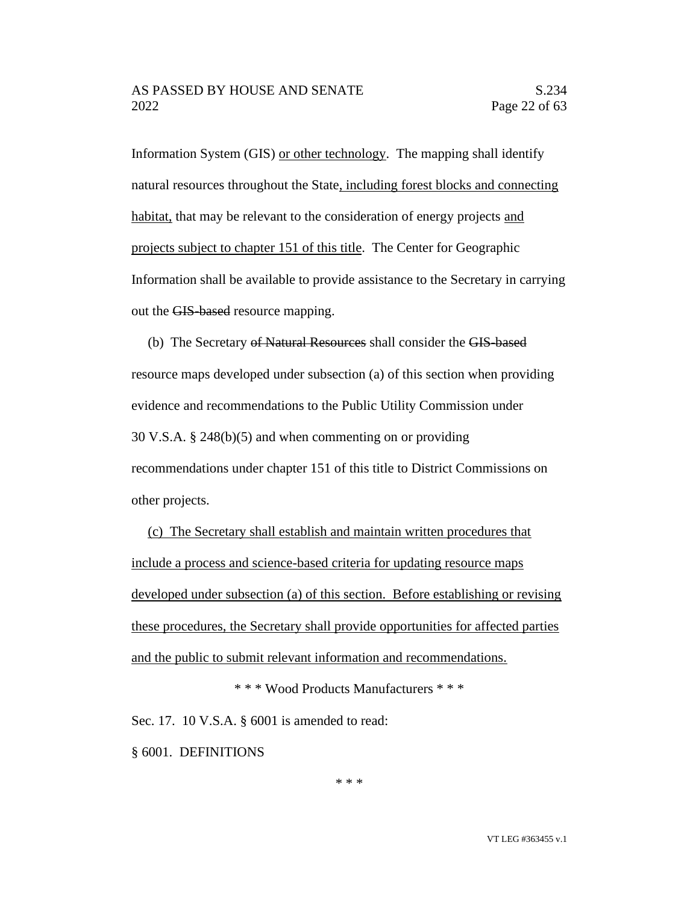Information System (GIS) or other technology. The mapping shall identify natural resources throughout the State, including forest blocks and connecting habitat, that may be relevant to the consideration of energy projects and projects subject to chapter 151 of this title. The Center for Geographic Information shall be available to provide assistance to the Secretary in carrying out the GIS-based resource mapping.

(b) The Secretary of Natural Resources shall consider the GIS-based resource maps developed under subsection (a) of this section when providing evidence and recommendations to the Public Utility Commission under 30 V.S.A. § 248(b)(5) and when commenting on or providing recommendations under chapter 151 of this title to District Commissions on other projects.

(c) The Secretary shall establish and maintain written procedures that include a process and science-based criteria for updating resource maps developed under subsection (a) of this section. Before establishing or revising these procedures, the Secretary shall provide opportunities for affected parties and the public to submit relevant information and recommendations.

\* \* \* Wood Products Manufacturers \* \* \*

Sec. 17. 10 V.S.A. § 6001 is amended to read:

§ 6001. DEFINITIONS

\* \* \*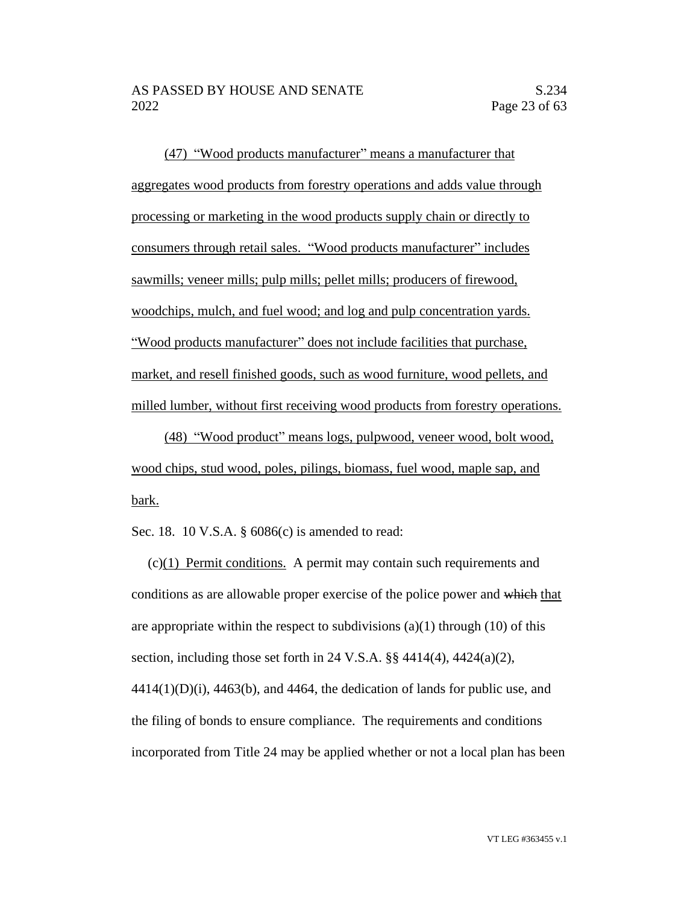(47) "Wood products manufacturer" means a manufacturer that aggregates wood products from forestry operations and adds value through processing or marketing in the wood products supply chain or directly to consumers through retail sales. "Wood products manufacturer" includes sawmills; veneer mills; pulp mills; pellet mills; producers of firewood, woodchips, mulch, and fuel wood; and log and pulp concentration yards. "Wood products manufacturer" does not include facilities that purchase, market, and resell finished goods, such as wood furniture, wood pellets, and milled lumber, without first receiving wood products from forestry operations.

(48) "Wood product" means logs, pulpwood, veneer wood, bolt wood, wood chips, stud wood, poles, pilings, biomass, fuel wood, maple sap, and bark.

Sec. 18. 10 V.S.A. § 6086(c) is amended to read:

(c)(1) Permit conditions. A permit may contain such requirements and conditions as are allowable proper exercise of the police power and which that are appropriate within the respect to subdivisions  $(a)(1)$  through  $(10)$  of this section, including those set forth in 24 V.S.A.  $\S$  $\frac{1}{2}$  4414(4), 4424(a)(2),  $4414(1)(D)(i)$ ,  $4463(6)$ , and  $4464$ , the dedication of lands for public use, and the filing of bonds to ensure compliance. The requirements and conditions incorporated from Title 24 may be applied whether or not a local plan has been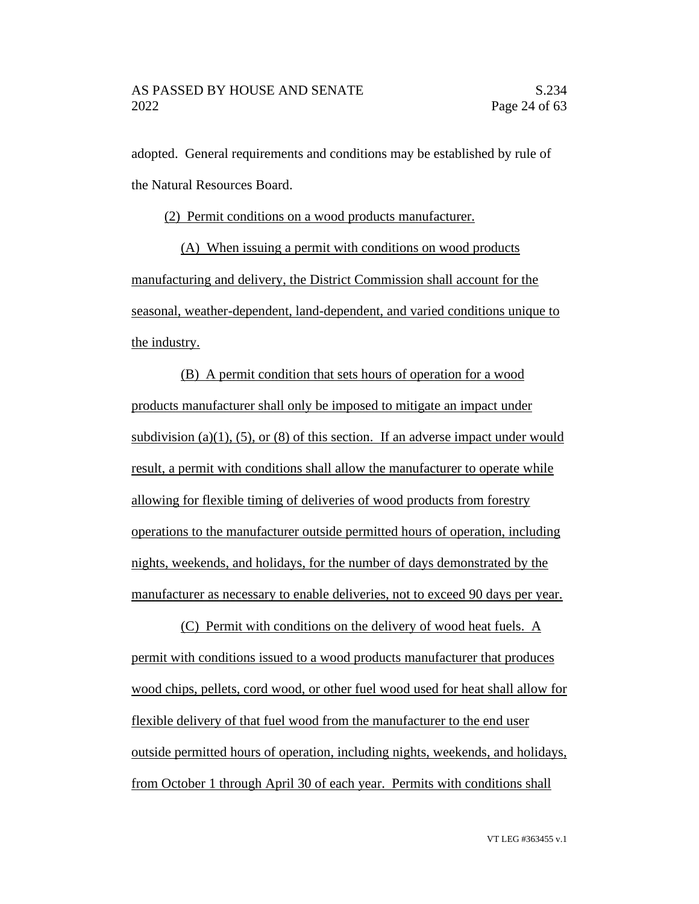adopted. General requirements and conditions may be established by rule of the Natural Resources Board.

(2) Permit conditions on a wood products manufacturer.

(A) When issuing a permit with conditions on wood products manufacturing and delivery, the District Commission shall account for the seasonal, weather-dependent, land-dependent, and varied conditions unique to the industry.

(B) A permit condition that sets hours of operation for a wood products manufacturer shall only be imposed to mitigate an impact under subdivision (a)(1), (5), or (8) of this section. If an adverse impact under would result, a permit with conditions shall allow the manufacturer to operate while allowing for flexible timing of deliveries of wood products from forestry operations to the manufacturer outside permitted hours of operation, including nights, weekends, and holidays, for the number of days demonstrated by the manufacturer as necessary to enable deliveries, not to exceed 90 days per year.

(C) Permit with conditions on the delivery of wood heat fuels. A permit with conditions issued to a wood products manufacturer that produces wood chips, pellets, cord wood, or other fuel wood used for heat shall allow for flexible delivery of that fuel wood from the manufacturer to the end user outside permitted hours of operation, including nights, weekends, and holidays, from October 1 through April 30 of each year. Permits with conditions shall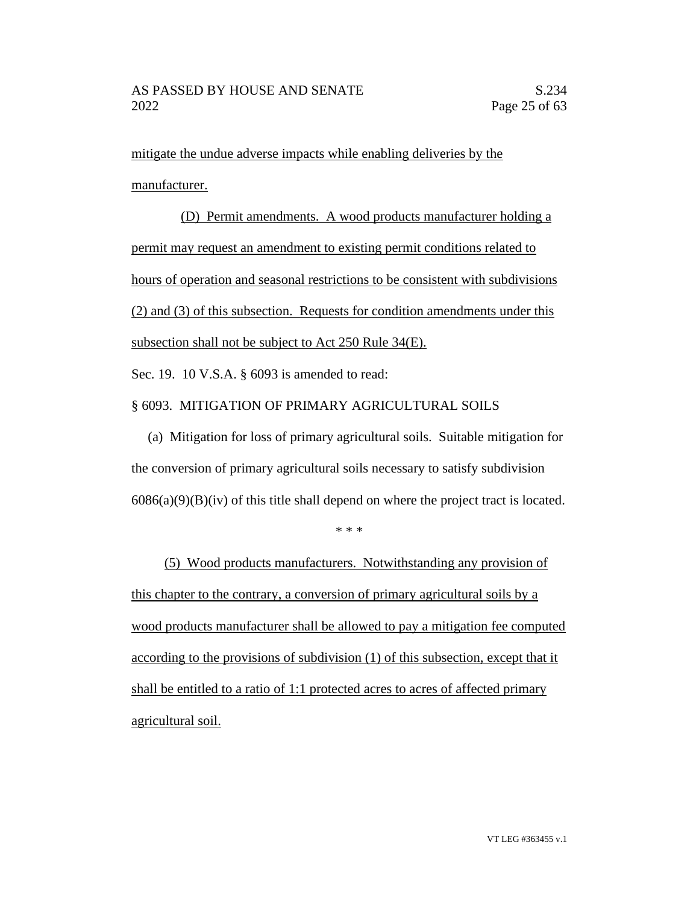mitigate the undue adverse impacts while enabling deliveries by the manufacturer.

(D) Permit amendments. A wood products manufacturer holding a permit may request an amendment to existing permit conditions related to hours of operation and seasonal restrictions to be consistent with subdivisions (2) and (3) of this subsection. Requests for condition amendments under this subsection shall not be subject to Act 250 Rule 34(E).

Sec. 19. 10 V.S.A. § 6093 is amended to read:

# § 6093. MITIGATION OF PRIMARY AGRICULTURAL SOILS

(a) Mitigation for loss of primary agricultural soils. Suitable mitigation for the conversion of primary agricultural soils necessary to satisfy subdivision  $6086(a)(9)(B)(iv)$  of this title shall depend on where the project tract is located.

\* \* \*

(5) Wood products manufacturers. Notwithstanding any provision of this chapter to the contrary, a conversion of primary agricultural soils by a wood products manufacturer shall be allowed to pay a mitigation fee computed according to the provisions of subdivision (1) of this subsection, except that it shall be entitled to a ratio of 1:1 protected acres to acres of affected primary agricultural soil.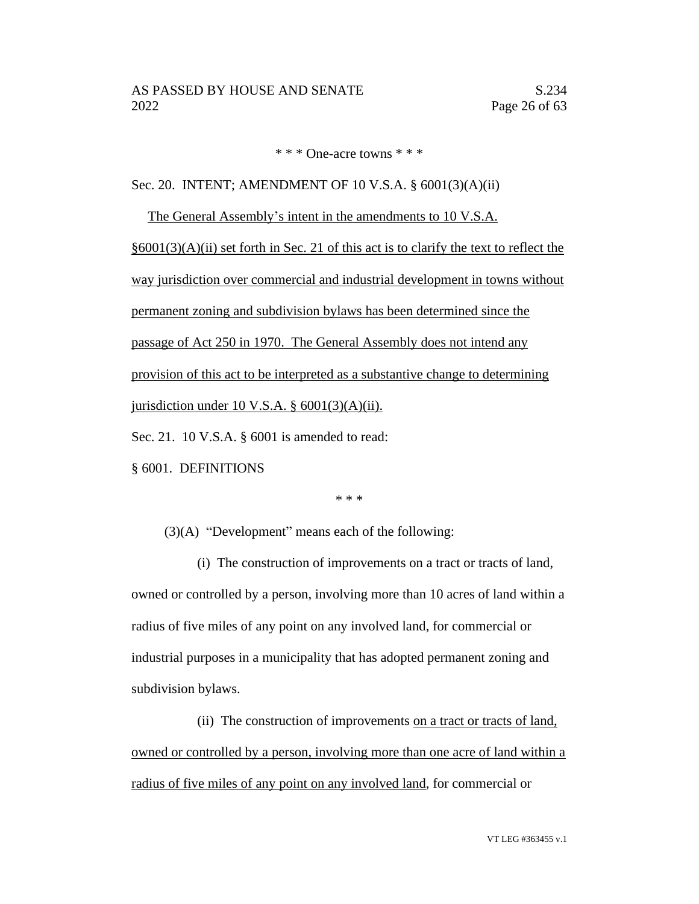\* \* \* One-acre towns \* \* \*

Sec. 20. INTENT; AMENDMENT OF 10 V.S.A. § 6001(3)(A)(ii)

The General Assembly's intent in the amendments to 10 V.S.A.

 $§6001(3)(A)(ii)$  set forth in Sec. 21 of this act is to clarify the text to reflect the way jurisdiction over commercial and industrial development in towns without permanent zoning and subdivision bylaws has been determined since the passage of Act 250 in 1970. The General Assembly does not intend any provision of this act to be interpreted as a substantive change to determining jurisdiction under 10 V.S.A.  $\S$  6001(3)(A)(ii).

Sec. 21. 10 V.S.A. § 6001 is amended to read:

§ 6001. DEFINITIONS

\* \* \*

(3)(A) "Development" means each of the following:

(i) The construction of improvements on a tract or tracts of land, owned or controlled by a person, involving more than 10 acres of land within a radius of five miles of any point on any involved land, for commercial or industrial purposes in a municipality that has adopted permanent zoning and subdivision bylaws.

(ii) The construction of improvements on a tract or tracts of land, owned or controlled by a person, involving more than one acre of land within a radius of five miles of any point on any involved land, for commercial or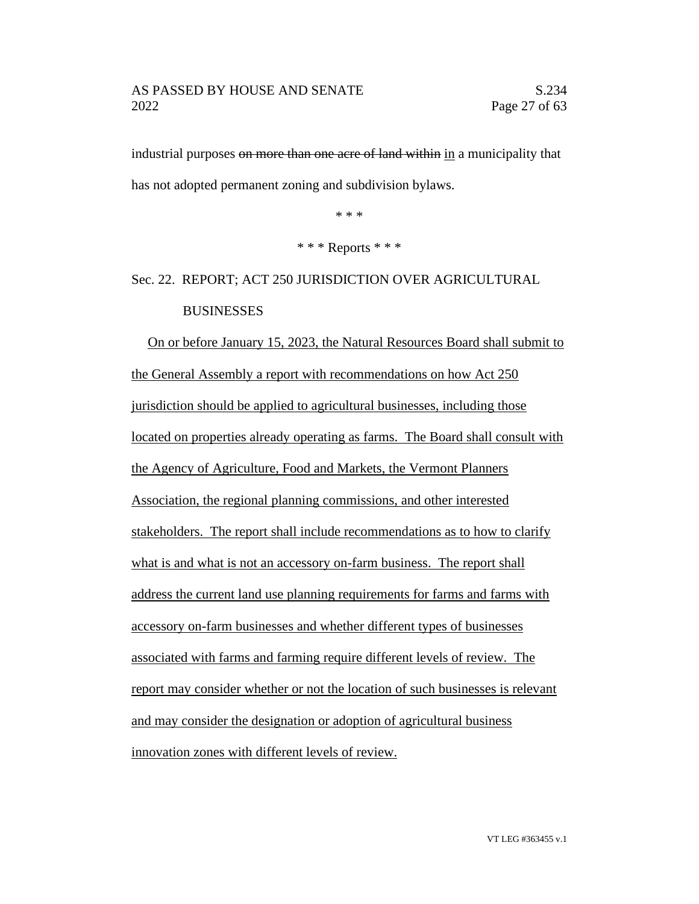industrial purposes on more than one acre of land within in a municipality that has not adopted permanent zoning and subdivision bylaws.

\* \* \*

\* \* \* Reports \* \* \*

Sec. 22. REPORT; ACT 250 JURISDICTION OVER AGRICULTURAL **BUSINESSES** 

On or before January 15, 2023, the Natural Resources Board shall submit to the General Assembly a report with recommendations on how Act 250 jurisdiction should be applied to agricultural businesses, including those located on properties already operating as farms. The Board shall consult with the Agency of Agriculture, Food and Markets, the Vermont Planners Association, the regional planning commissions, and other interested stakeholders. The report shall include recommendations as to how to clarify what is and what is not an accessory on-farm business. The report shall address the current land use planning requirements for farms and farms with accessory on-farm businesses and whether different types of businesses associated with farms and farming require different levels of review. The report may consider whether or not the location of such businesses is relevant and may consider the designation or adoption of agricultural business innovation zones with different levels of review.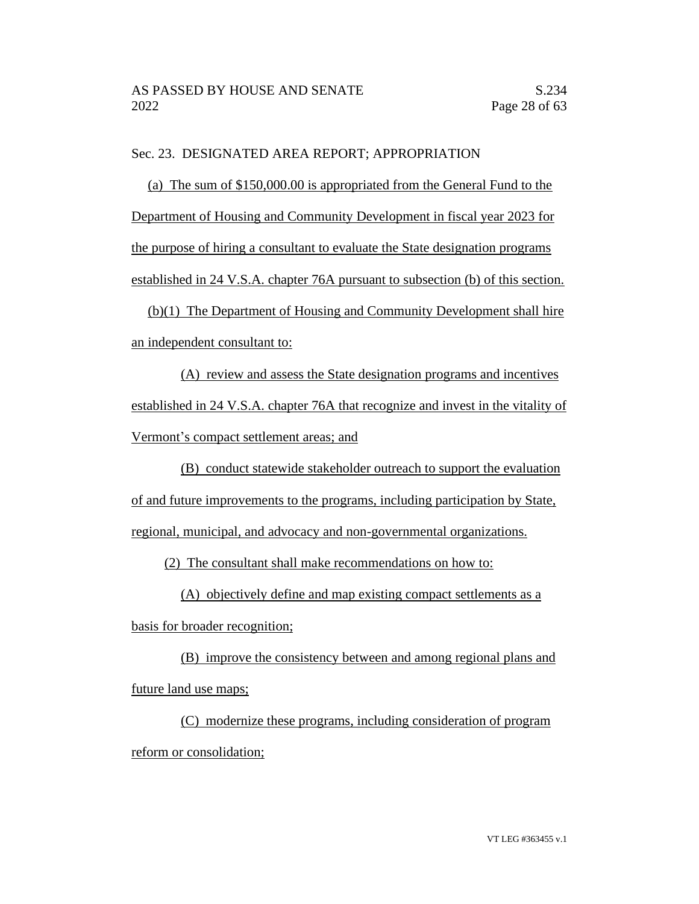## Sec. 23. DESIGNATED AREA REPORT; APPROPRIATION

(a) The sum of \$150,000.00 is appropriated from the General Fund to the Department of Housing and Community Development in fiscal year 2023 for the purpose of hiring a consultant to evaluate the State designation programs established in 24 V.S.A. chapter 76A pursuant to subsection (b) of this section. (b)(1) The Department of Housing and Community Development shall hire an independent consultant to:

(A) review and assess the State designation programs and incentives established in 24 V.S.A. chapter 76A that recognize and invest in the vitality of Vermont's compact settlement areas; and

(B) conduct statewide stakeholder outreach to support the evaluation of and future improvements to the programs, including participation by State, regional, municipal, and advocacy and non-governmental organizations.

(2) The consultant shall make recommendations on how to:

(A) objectively define and map existing compact settlements as a

basis for broader recognition;

(B) improve the consistency between and among regional plans and future land use maps;

(C) modernize these programs, including consideration of program reform or consolidation;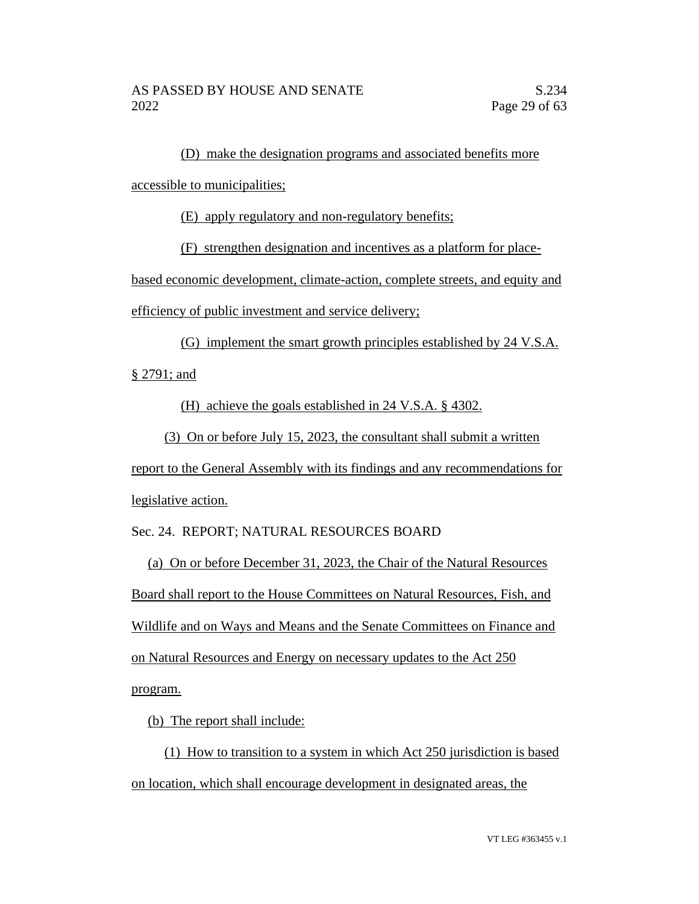(D) make the designation programs and associated benefits more

accessible to municipalities;

(E) apply regulatory and non-regulatory benefits;

(F) strengthen designation and incentives as a platform for place-

based economic development, climate-action, complete streets, and equity and efficiency of public investment and service delivery;

(G) implement the smart growth principles established by 24 V.S.A.

§ 2791; and

(H) achieve the goals established in 24 V.S.A. § 4302.

(3) On or before July 15, 2023, the consultant shall submit a written

report to the General Assembly with its findings and any recommendations for legislative action.

Sec. 24. REPORT; NATURAL RESOURCES BOARD

(a) On or before December 31, 2023, the Chair of the Natural Resources Board shall report to the House Committees on Natural Resources, Fish, and Wildlife and on Ways and Means and the Senate Committees on Finance and on Natural Resources and Energy on necessary updates to the Act 250 program.

(b) The report shall include:

(1) How to transition to a system in which Act 250 jurisdiction is based on location, which shall encourage development in designated areas, the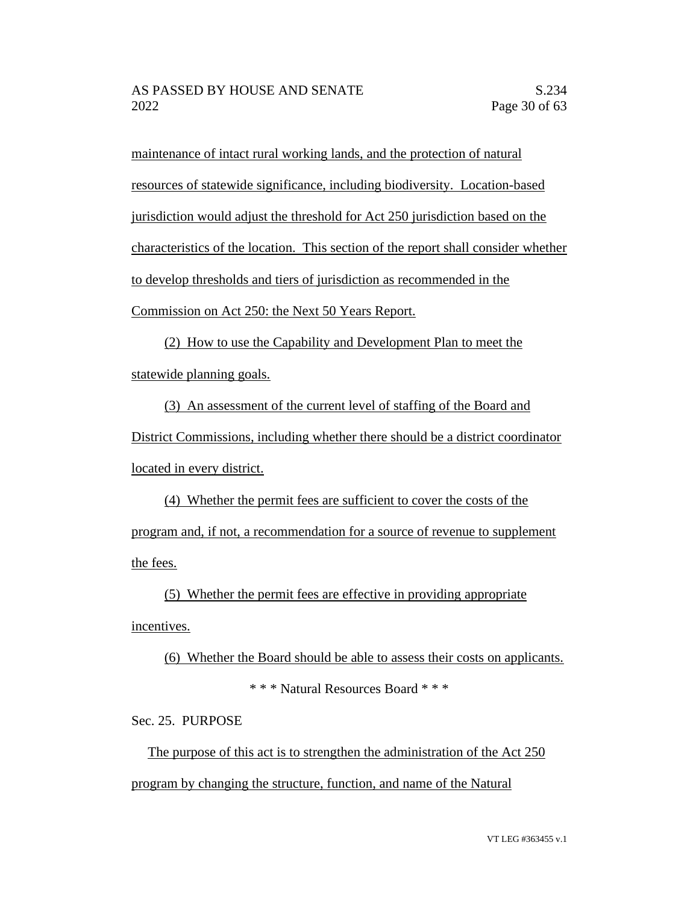maintenance of intact rural working lands, and the protection of natural resources of statewide significance, including biodiversity. Location-based jurisdiction would adjust the threshold for Act 250 jurisdiction based on the characteristics of the location. This section of the report shall consider whether to develop thresholds and tiers of jurisdiction as recommended in the Commission on Act 250: the Next 50 Years Report.

(2) How to use the Capability and Development Plan to meet the statewide planning goals.

(3) An assessment of the current level of staffing of the Board and District Commissions, including whether there should be a district coordinator located in every district.

(4) Whether the permit fees are sufficient to cover the costs of the program and, if not, a recommendation for a source of revenue to supplement the fees.

(5) Whether the permit fees are effective in providing appropriate incentives.

(6) Whether the Board should be able to assess their costs on applicants. \* \* \* Natural Resources Board \* \* \*

Sec. 25. PURPOSE

The purpose of this act is to strengthen the administration of the Act 250 program by changing the structure, function, and name of the Natural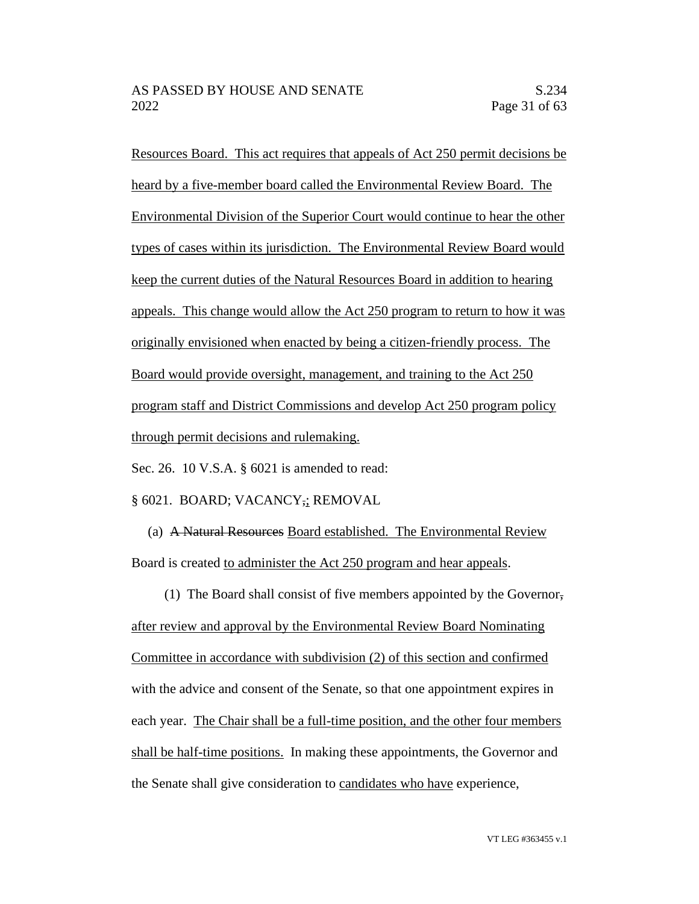Resources Board. This act requires that appeals of Act 250 permit decisions be heard by a five-member board called the Environmental Review Board. The Environmental Division of the Superior Court would continue to hear the other types of cases within its jurisdiction. The Environmental Review Board would keep the current duties of the Natural Resources Board in addition to hearing appeals. This change would allow the Act 250 program to return to how it was originally envisioned when enacted by being a citizen-friendly process. The Board would provide oversight, management, and training to the Act 250 program staff and District Commissions and develop Act 250 program policy through permit decisions and rulemaking.

Sec. 26. 10 V.S.A. § 6021 is amended to read:

§ 6021. BOARD; VACANCY,; REMOVAL

(a) A Natural Resources Board established. The Environmental Review Board is created to administer the Act 250 program and hear appeals.

(1) The Board shall consist of five members appointed by the Governor,

after review and approval by the Environmental Review Board Nominating Committee in accordance with subdivision (2) of this section and confirmed with the advice and consent of the Senate, so that one appointment expires in each year. The Chair shall be a full-time position, and the other four members shall be half-time positions. In making these appointments, the Governor and the Senate shall give consideration to candidates who have experience,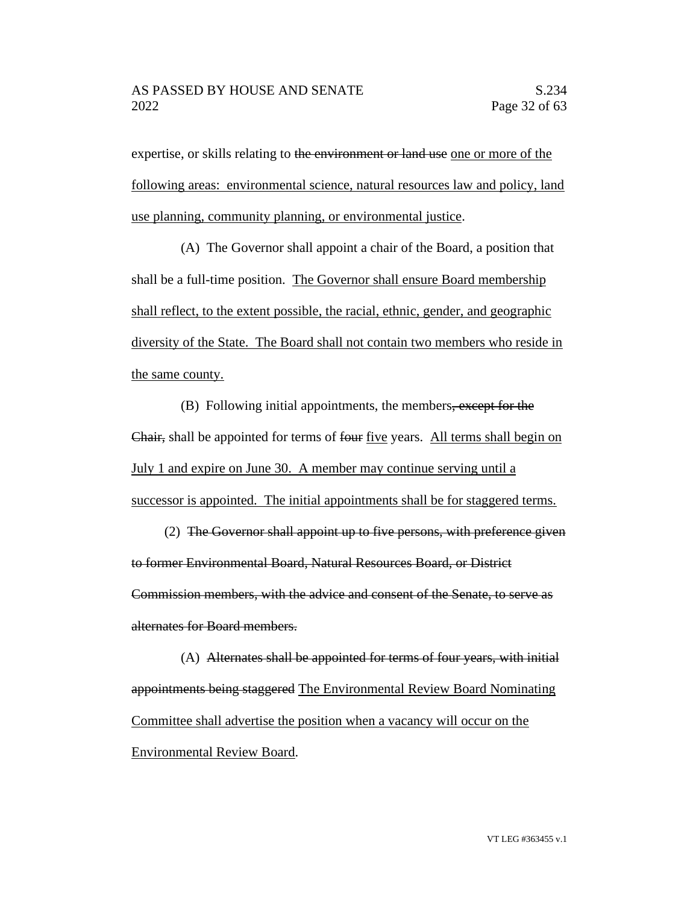expertise, or skills relating to the environment or land use one or more of the following areas: environmental science, natural resources law and policy, land use planning, community planning, or environmental justice.

(A) The Governor shall appoint a chair of the Board, a position that shall be a full-time position. The Governor shall ensure Board membership shall reflect, to the extent possible, the racial, ethnic, gender, and geographic diversity of the State. The Board shall not contain two members who reside in the same county.

(B) Following initial appointments, the members, except for the Chair, shall be appointed for terms of four five years. All terms shall begin on July 1 and expire on June 30. A member may continue serving until a successor is appointed. The initial appointments shall be for staggered terms.

(2) The Governor shall appoint up to five persons, with preference given to former Environmental Board, Natural Resources Board, or District Commission members, with the advice and consent of the Senate, to serve as alternates for Board members.

(A) Alternates shall be appointed for terms of four years, with initial appointments being staggered The Environmental Review Board Nominating Committee shall advertise the position when a vacancy will occur on the Environmental Review Board.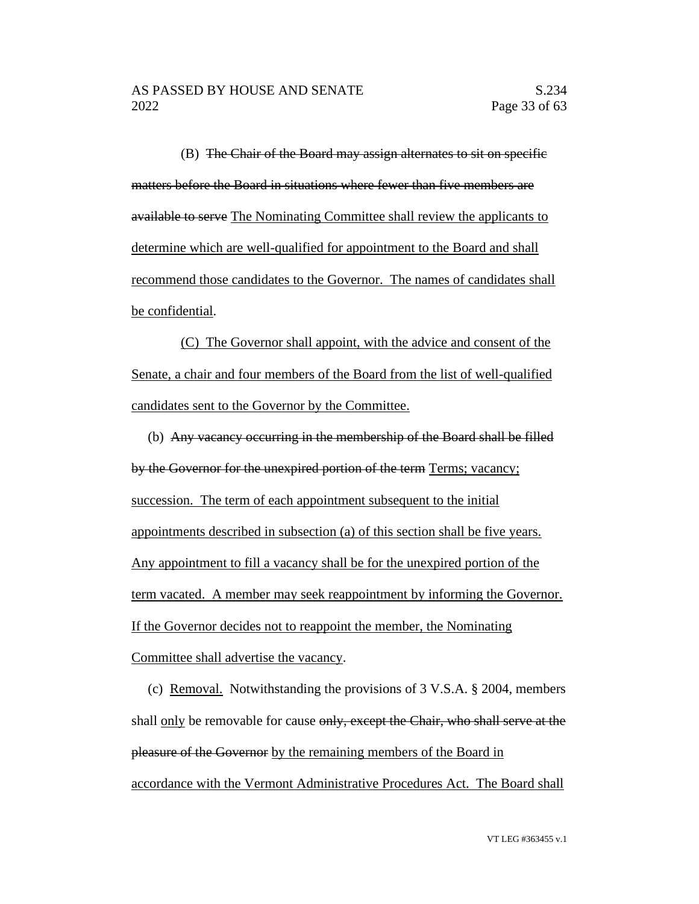(B) The Chair of the Board may assign alternates to sit on specific matters before the Board in situations where fewer than five members are available to serve The Nominating Committee shall review the applicants to determine which are well-qualified for appointment to the Board and shall recommend those candidates to the Governor. The names of candidates shall be confidential.

(C) The Governor shall appoint, with the advice and consent of the Senate, a chair and four members of the Board from the list of well-qualified candidates sent to the Governor by the Committee.

(b) Any vacancy occurring in the membership of the Board shall be filled by the Governor for the unexpired portion of the term Terms; vacancy; succession. The term of each appointment subsequent to the initial appointments described in subsection (a) of this section shall be five years. Any appointment to fill a vacancy shall be for the unexpired portion of the term vacated. A member may seek reappointment by informing the Governor. If the Governor decides not to reappoint the member, the Nominating Committee shall advertise the vacancy.

(c) Removal. Notwithstanding the provisions of 3 V.S.A. § 2004, members shall <u>only</u> be removable for cause only, except the Chair, who shall serve at the pleasure of the Governor by the remaining members of the Board in accordance with the Vermont Administrative Procedures Act. The Board shall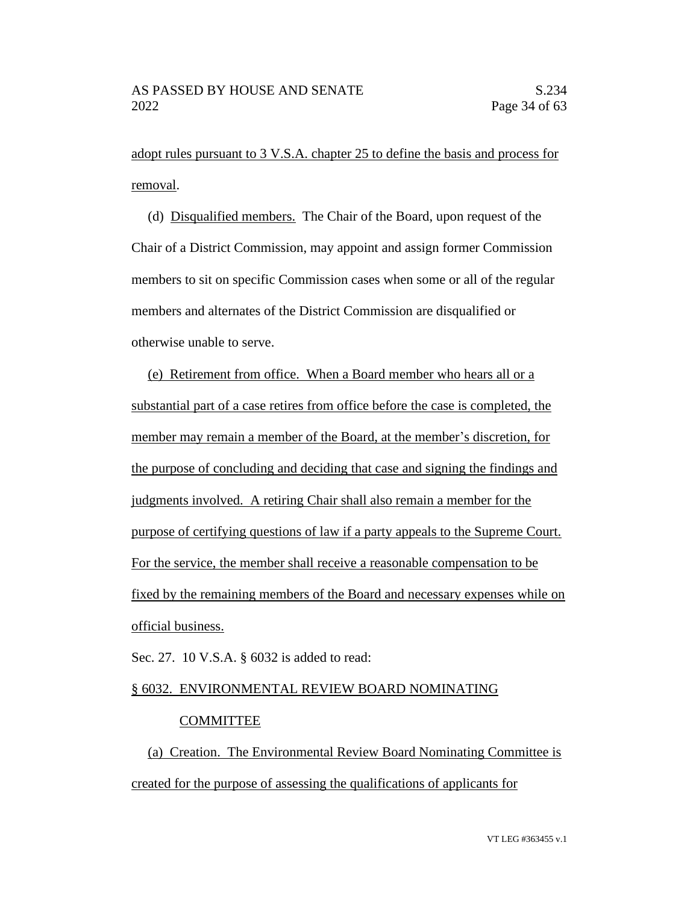adopt rules pursuant to 3 V.S.A. chapter 25 to define the basis and process for removal.

(d) Disqualified members. The Chair of the Board, upon request of the Chair of a District Commission, may appoint and assign former Commission members to sit on specific Commission cases when some or all of the regular members and alternates of the District Commission are disqualified or otherwise unable to serve.

(e) Retirement from office. When a Board member who hears all or a substantial part of a case retires from office before the case is completed, the member may remain a member of the Board, at the member's discretion, for the purpose of concluding and deciding that case and signing the findings and judgments involved. A retiring Chair shall also remain a member for the purpose of certifying questions of law if a party appeals to the Supreme Court. For the service, the member shall receive a reasonable compensation to be fixed by the remaining members of the Board and necessary expenses while on official business.

Sec. 27. 10 V.S.A. § 6032 is added to read:

# § 6032. ENVIRONMENTAL REVIEW BOARD NOMINATING

## COMMITTEE

(a) Creation. The Environmental Review Board Nominating Committee is created for the purpose of assessing the qualifications of applicants for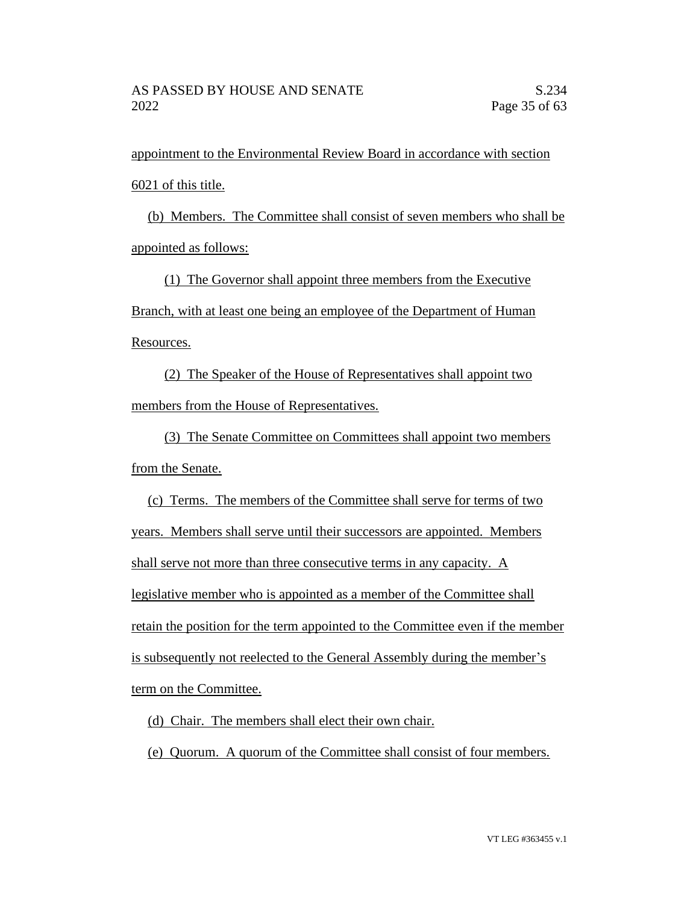appointment to the Environmental Review Board in accordance with section 6021 of this title.

(b) Members. The Committee shall consist of seven members who shall be appointed as follows:

(1) The Governor shall appoint three members from the Executive Branch, with at least one being an employee of the Department of Human Resources.

(2) The Speaker of the House of Representatives shall appoint two members from the House of Representatives.

(3) The Senate Committee on Committees shall appoint two members from the Senate.

(c) Terms. The members of the Committee shall serve for terms of two years. Members shall serve until their successors are appointed. Members shall serve not more than three consecutive terms in any capacity. A legislative member who is appointed as a member of the Committee shall retain the position for the term appointed to the Committee even if the member is subsequently not reelected to the General Assembly during the member's term on the Committee.

(d) Chair. The members shall elect their own chair.

(e) Quorum. A quorum of the Committee shall consist of four members.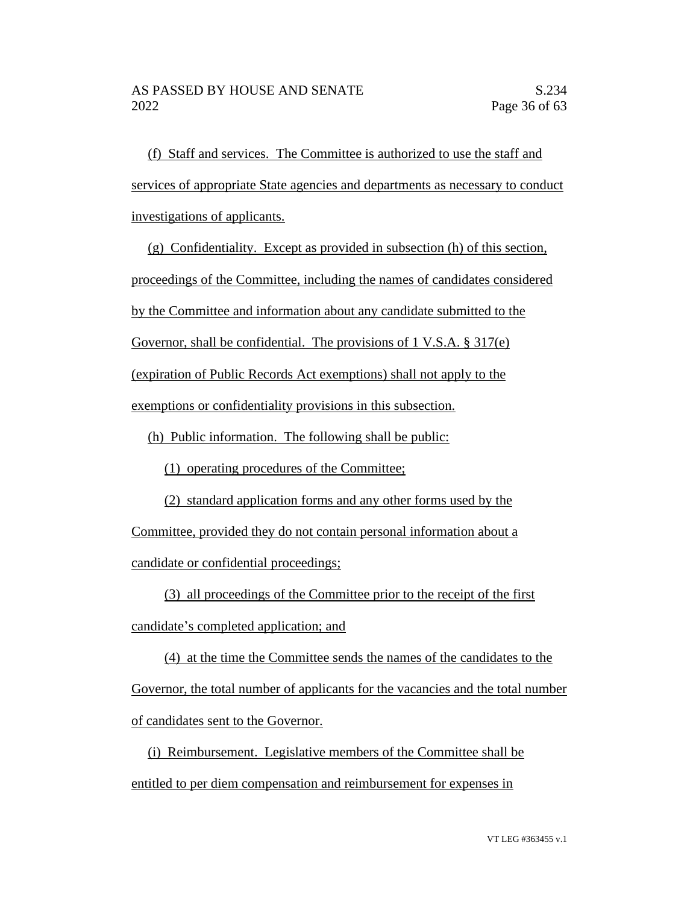(f) Staff and services. The Committee is authorized to use the staff and services of appropriate State agencies and departments as necessary to conduct investigations of applicants.

(g) Confidentiality. Except as provided in subsection (h) of this section, proceedings of the Committee, including the names of candidates considered by the Committee and information about any candidate submitted to the Governor, shall be confidential. The provisions of 1 V.S.A. § 317(e) (expiration of Public Records Act exemptions) shall not apply to the exemptions or confidentiality provisions in this subsection.

(h) Public information. The following shall be public:

(1) operating procedures of the Committee;

(2) standard application forms and any other forms used by the

Committee, provided they do not contain personal information about a candidate or confidential proceedings;

(3) all proceedings of the Committee prior to the receipt of the first

candidate's completed application; and

(4) at the time the Committee sends the names of the candidates to the Governor, the total number of applicants for the vacancies and the total number of candidates sent to the Governor.

(i) Reimbursement. Legislative members of the Committee shall be entitled to per diem compensation and reimbursement for expenses in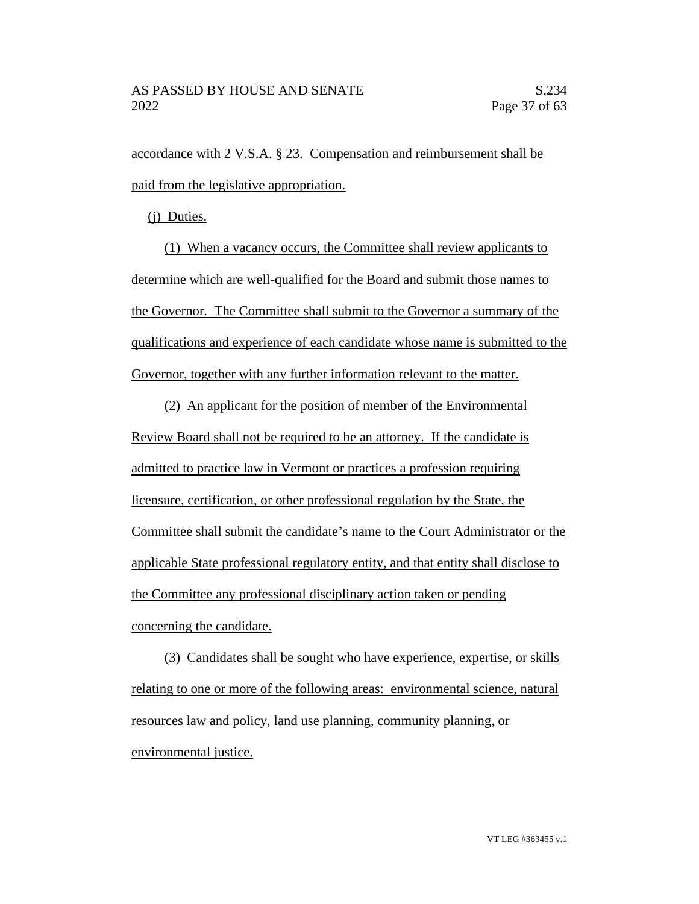accordance with 2 V.S.A. § 23. Compensation and reimbursement shall be paid from the legislative appropriation.

(j) Duties.

(1) When a vacancy occurs, the Committee shall review applicants to determine which are well-qualified for the Board and submit those names to the Governor. The Committee shall submit to the Governor a summary of the qualifications and experience of each candidate whose name is submitted to the Governor, together with any further information relevant to the matter.

(2) An applicant for the position of member of the Environmental Review Board shall not be required to be an attorney. If the candidate is admitted to practice law in Vermont or practices a profession requiring licensure, certification, or other professional regulation by the State, the Committee shall submit the candidate's name to the Court Administrator or the applicable State professional regulatory entity, and that entity shall disclose to the Committee any professional disciplinary action taken or pending concerning the candidate.

(3) Candidates shall be sought who have experience, expertise, or skills relating to one or more of the following areas: environmental science, natural resources law and policy, land use planning, community planning, or environmental justice.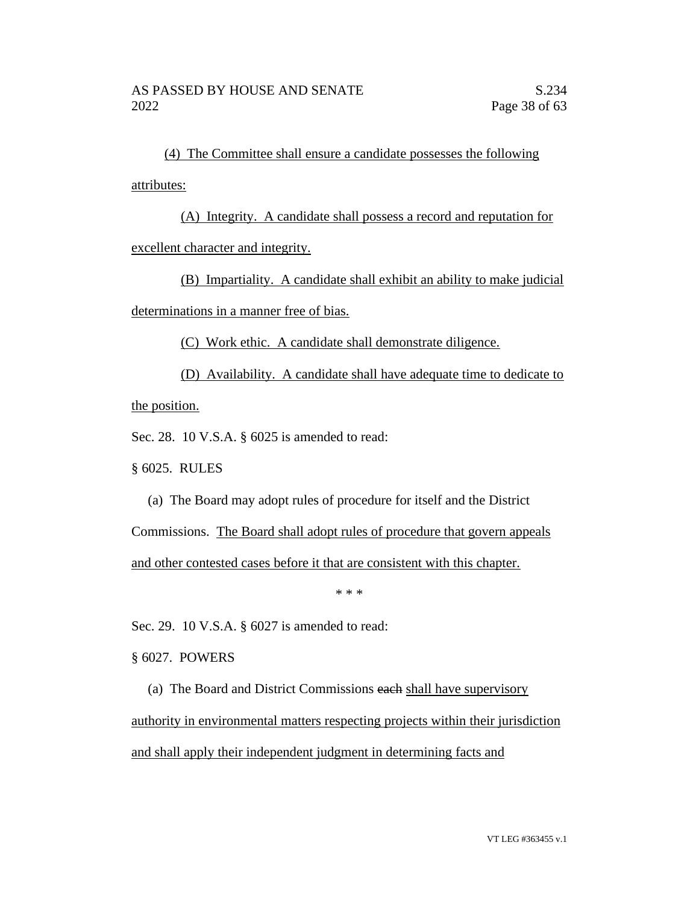(4) The Committee shall ensure a candidate possesses the following attributes:

(A) Integrity. A candidate shall possess a record and reputation for excellent character and integrity.

(B) Impartiality. A candidate shall exhibit an ability to make judicial determinations in a manner free of bias.

(C) Work ethic. A candidate shall demonstrate diligence.

(D) Availability. A candidate shall have adequate time to dedicate to the position.

Sec. 28. 10 V.S.A. § 6025 is amended to read:

§ 6025. RULES

(a) The Board may adopt rules of procedure for itself and the District

Commissions. The Board shall adopt rules of procedure that govern appeals and other contested cases before it that are consistent with this chapter.

\* \* \*

Sec. 29. 10 V.S.A. § 6027 is amended to read:

§ 6027. POWERS

(a) The Board and District Commissions each shall have supervisory authority in environmental matters respecting projects within their jurisdiction and shall apply their independent judgment in determining facts and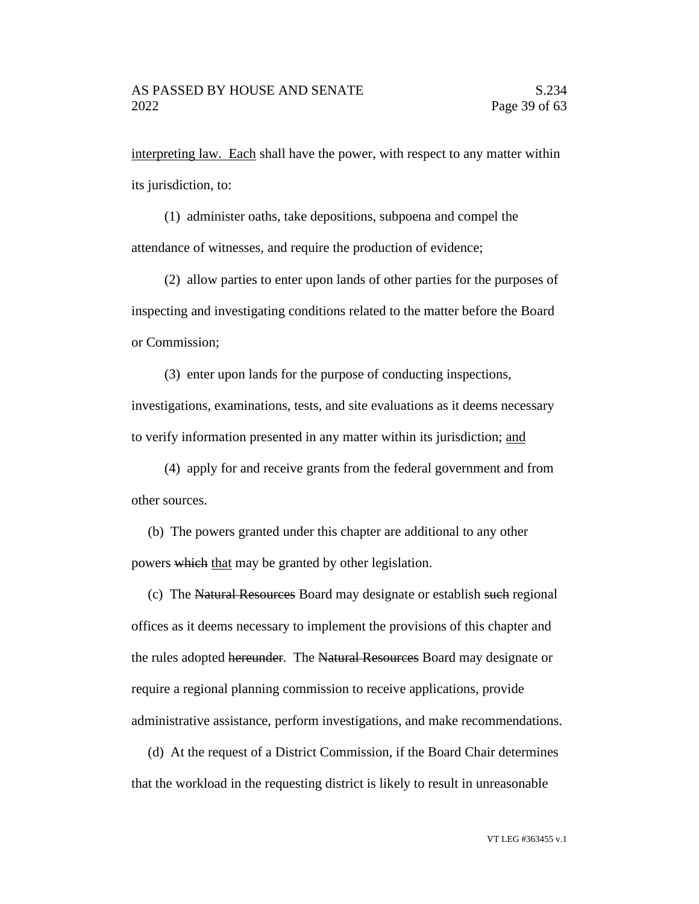interpreting law. Each shall have the power, with respect to any matter within its jurisdiction, to:

(1) administer oaths, take depositions, subpoena and compel the attendance of witnesses, and require the production of evidence;

(2) allow parties to enter upon lands of other parties for the purposes of inspecting and investigating conditions related to the matter before the Board or Commission;

(3) enter upon lands for the purpose of conducting inspections, investigations, examinations, tests, and site evaluations as it deems necessary to verify information presented in any matter within its jurisdiction; and

(4) apply for and receive grants from the federal government and from other sources.

(b) The powers granted under this chapter are additional to any other powers which that may be granted by other legislation.

(c) The Natural Resources Board may designate or establish such regional offices as it deems necessary to implement the provisions of this chapter and the rules adopted hereunder. The Natural Resources Board may designate or require a regional planning commission to receive applications, provide administrative assistance, perform investigations, and make recommendations.

(d) At the request of a District Commission, if the Board Chair determines that the workload in the requesting district is likely to result in unreasonable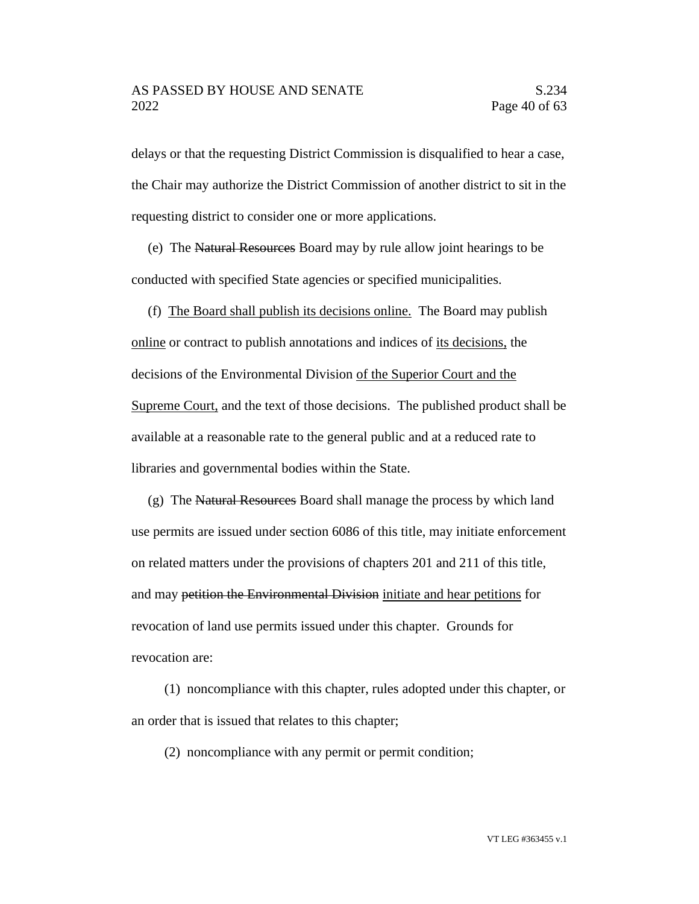delays or that the requesting District Commission is disqualified to hear a case, the Chair may authorize the District Commission of another district to sit in the requesting district to consider one or more applications.

(e) The Natural Resources Board may by rule allow joint hearings to be conducted with specified State agencies or specified municipalities.

(f) The Board shall publish its decisions online. The Board may publish online or contract to publish annotations and indices of its decisions, the decisions of the Environmental Division of the Superior Court and the Supreme Court, and the text of those decisions. The published product shall be available at a reasonable rate to the general public and at a reduced rate to libraries and governmental bodies within the State.

(g) The Natural Resources Board shall manage the process by which land use permits are issued under section 6086 of this title, may initiate enforcement on related matters under the provisions of chapters 201 and 211 of this title, and may petition the Environmental Division initiate and hear petitions for revocation of land use permits issued under this chapter. Grounds for revocation are:

(1) noncompliance with this chapter, rules adopted under this chapter, or an order that is issued that relates to this chapter;

(2) noncompliance with any permit or permit condition;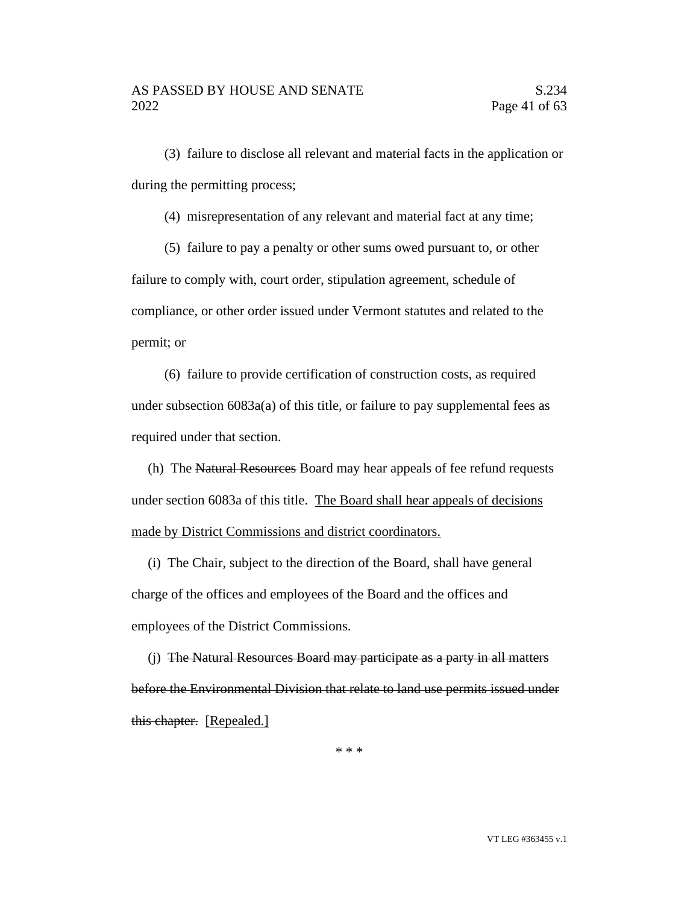(3) failure to disclose all relevant and material facts in the application or during the permitting process;

(4) misrepresentation of any relevant and material fact at any time;

(5) failure to pay a penalty or other sums owed pursuant to, or other failure to comply with, court order, stipulation agreement, schedule of compliance, or other order issued under Vermont statutes and related to the permit; or

(6) failure to provide certification of construction costs, as required under subsection 6083a(a) of this title, or failure to pay supplemental fees as required under that section.

(h) The Natural Resources Board may hear appeals of fee refund requests under section 6083a of this title. The Board shall hear appeals of decisions made by District Commissions and district coordinators.

(i) The Chair, subject to the direction of the Board, shall have general charge of the offices and employees of the Board and the offices and employees of the District Commissions.

(j) The Natural Resources Board may participate as a party in all matters before the Environmental Division that relate to land use permits issued under this chapter. [Repealed.]

\* \* \*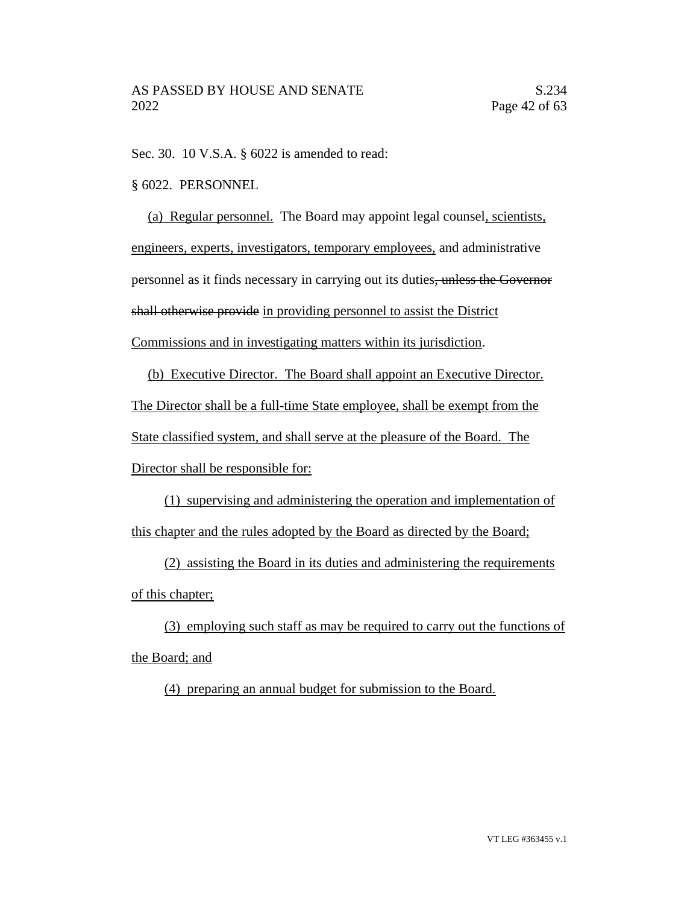Sec. 30. 10 V.S.A. § 6022 is amended to read:

# § 6022. PERSONNEL

(a) Regular personnel. The Board may appoint legal counsel, scientists, engineers, experts, investigators, temporary employees, and administrative personnel as it finds necessary in carrying out its duties, unless the Governor shall otherwise provide in providing personnel to assist the District Commissions and in investigating matters within its jurisdiction.

(b) Executive Director. The Board shall appoint an Executive Director. The Director shall be a full-time State employee, shall be exempt from the State classified system, and shall serve at the pleasure of the Board. The Director shall be responsible for:

(1) supervising and administering the operation and implementation of this chapter and the rules adopted by the Board as directed by the Board;

(2) assisting the Board in its duties and administering the requirements of this chapter;

(3) employing such staff as may be required to carry out the functions of the Board; and

(4) preparing an annual budget for submission to the Board.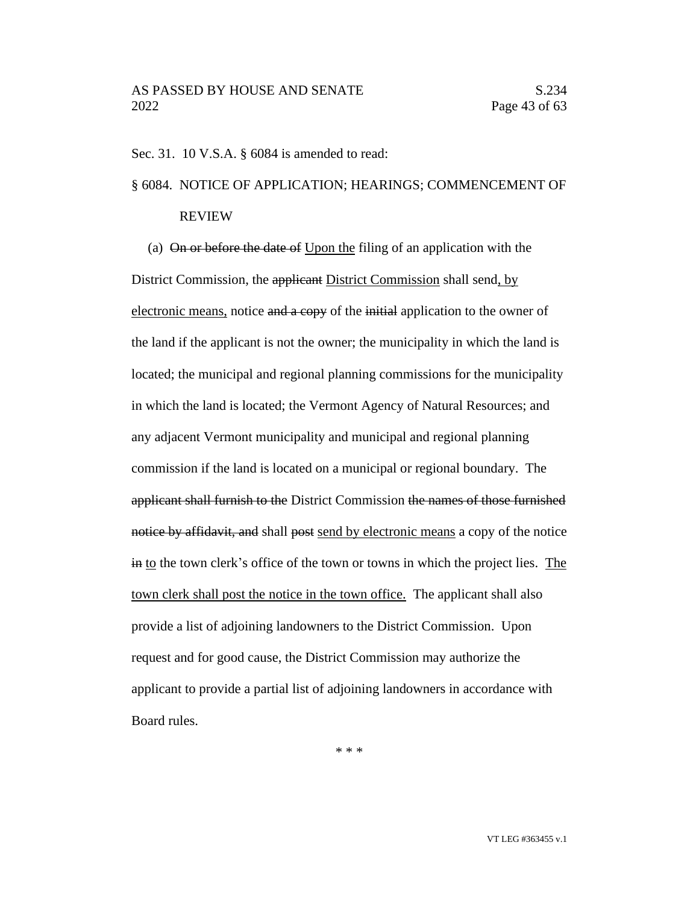Sec. 31. 10 V.S.A. § 6084 is amended to read:

# § 6084. NOTICE OF APPLICATION; HEARINGS; COMMENCEMENT OF

# REVIEW

(a) On or before the date of Upon the filing of an application with the District Commission, the applicant District Commission shall send, by electronic means, notice and a copy of the initial application to the owner of the land if the applicant is not the owner; the municipality in which the land is located; the municipal and regional planning commissions for the municipality in which the land is located; the Vermont Agency of Natural Resources; and any adjacent Vermont municipality and municipal and regional planning commission if the land is located on a municipal or regional boundary. The applicant shall furnish to the District Commission the names of those furnished notice by affidavit, and shall post send by electronic means a copy of the notice in to the town clerk's office of the town or towns in which the project lies. The town clerk shall post the notice in the town office. The applicant shall also provide a list of adjoining landowners to the District Commission. Upon request and for good cause, the District Commission may authorize the applicant to provide a partial list of adjoining landowners in accordance with Board rules.

\* \* \*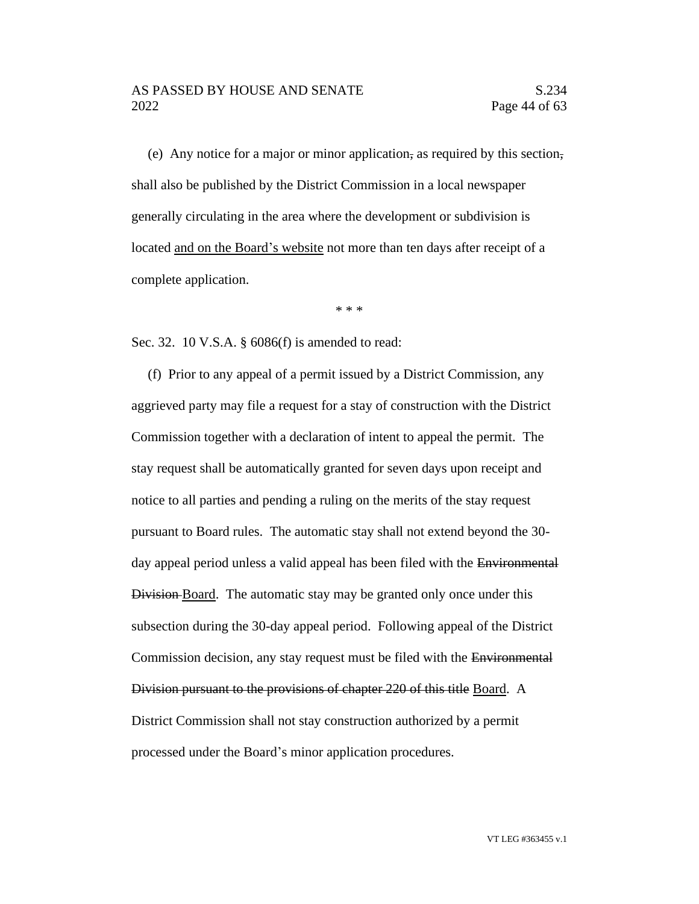# AS PASSED BY HOUSE AND SENATE S.234 2022 Page 44 of 63

(e) Any notice for a major or minor application, as required by this section, shall also be published by the District Commission in a local newspaper generally circulating in the area where the development or subdivision is located and on the Board's website not more than ten days after receipt of a complete application.

\* \* \*

Sec. 32. 10 V.S.A. § 6086(f) is amended to read:

(f) Prior to any appeal of a permit issued by a District Commission, any aggrieved party may file a request for a stay of construction with the District Commission together with a declaration of intent to appeal the permit. The stay request shall be automatically granted for seven days upon receipt and notice to all parties and pending a ruling on the merits of the stay request pursuant to Board rules. The automatic stay shall not extend beyond the 30 day appeal period unless a valid appeal has been filed with the Environmental Division Board. The automatic stay may be granted only once under this subsection during the 30-day appeal period. Following appeal of the District Commission decision, any stay request must be filed with the Environmental Division pursuant to the provisions of chapter 220 of this title Board. A District Commission shall not stay construction authorized by a permit processed under the Board's minor application procedures.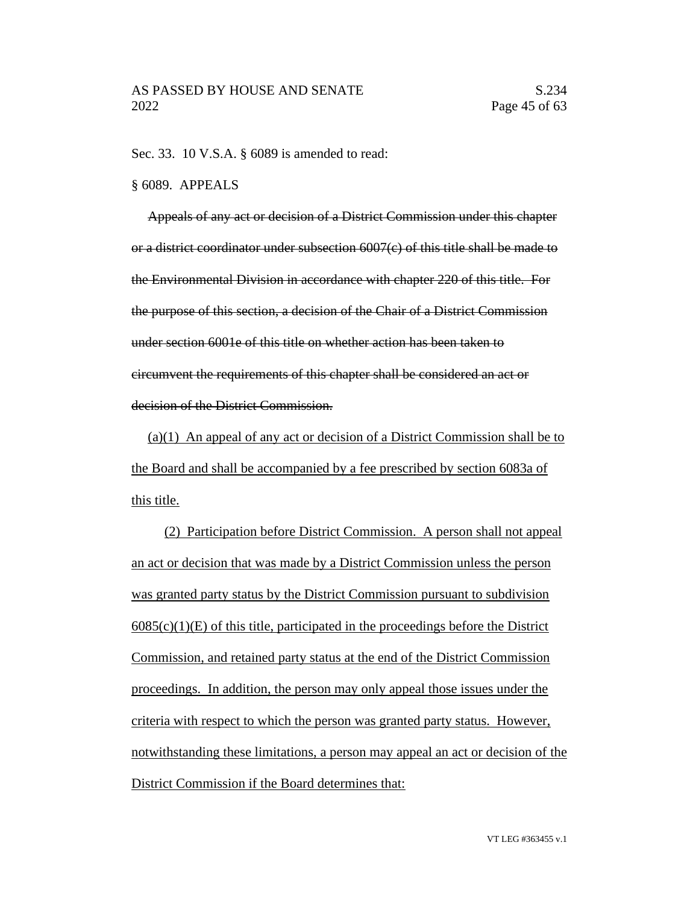Sec. 33. 10 V.S.A. § 6089 is amended to read:

### § 6089. APPEALS

Appeals of any act or decision of a District Commission under this chapter or a district coordinator under subsection 6007(c) of this title shall be made to the Environmental Division in accordance with chapter 220 of this title. For the purpose of this section, a decision of the Chair of a District Commission under section 6001e of this title on whether action has been taken to circumvent the requirements of this chapter shall be considered an act or decision of the District Commission.

(a)(1) An appeal of any act or decision of a District Commission shall be to the Board and shall be accompanied by a fee prescribed by section 6083a of this title.

(2) Participation before District Commission. A person shall not appeal an act or decision that was made by a District Commission unless the person was granted party status by the District Commission pursuant to subdivision  $6085(c)(1)(E)$  of this title, participated in the proceedings before the District Commission, and retained party status at the end of the District Commission proceedings. In addition, the person may only appeal those issues under the criteria with respect to which the person was granted party status. However, notwithstanding these limitations, a person may appeal an act or decision of the District Commission if the Board determines that: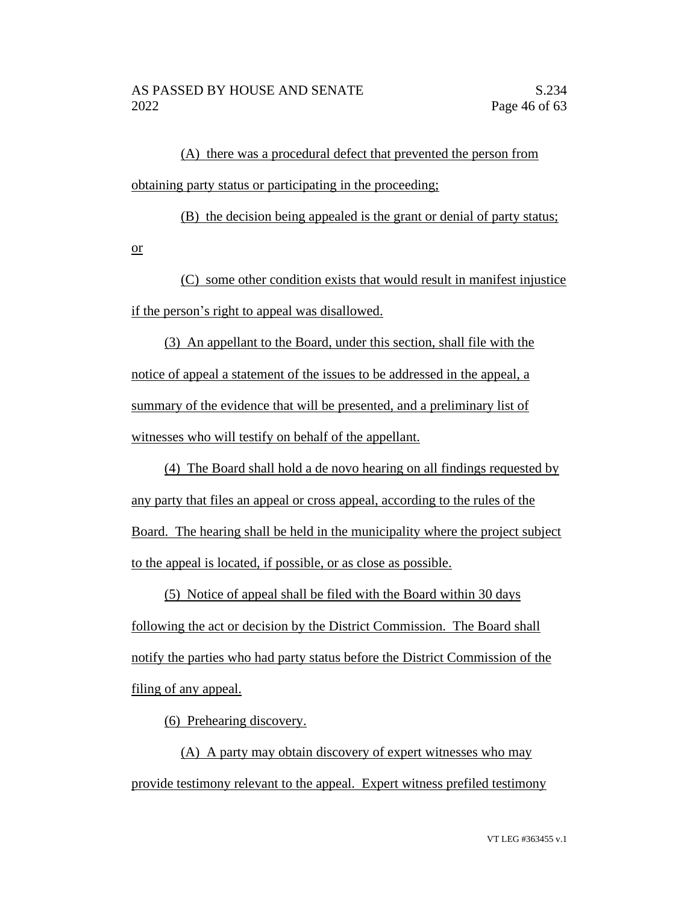(A) there was a procedural defect that prevented the person from obtaining party status or participating in the proceeding;

(B) the decision being appealed is the grant or denial of party status; or

(C) some other condition exists that would result in manifest injustice if the person's right to appeal was disallowed.

(3) An appellant to the Board, under this section, shall file with the notice of appeal a statement of the issues to be addressed in the appeal, a summary of the evidence that will be presented, and a preliminary list of witnesses who will testify on behalf of the appellant.

(4) The Board shall hold a de novo hearing on all findings requested by any party that files an appeal or cross appeal, according to the rules of the Board. The hearing shall be held in the municipality where the project subject to the appeal is located, if possible, or as close as possible.

(5) Notice of appeal shall be filed with the Board within 30 days following the act or decision by the District Commission. The Board shall notify the parties who had party status before the District Commission of the filing of any appeal.

(6) Prehearing discovery.

(A) A party may obtain discovery of expert witnesses who may provide testimony relevant to the appeal. Expert witness prefiled testimony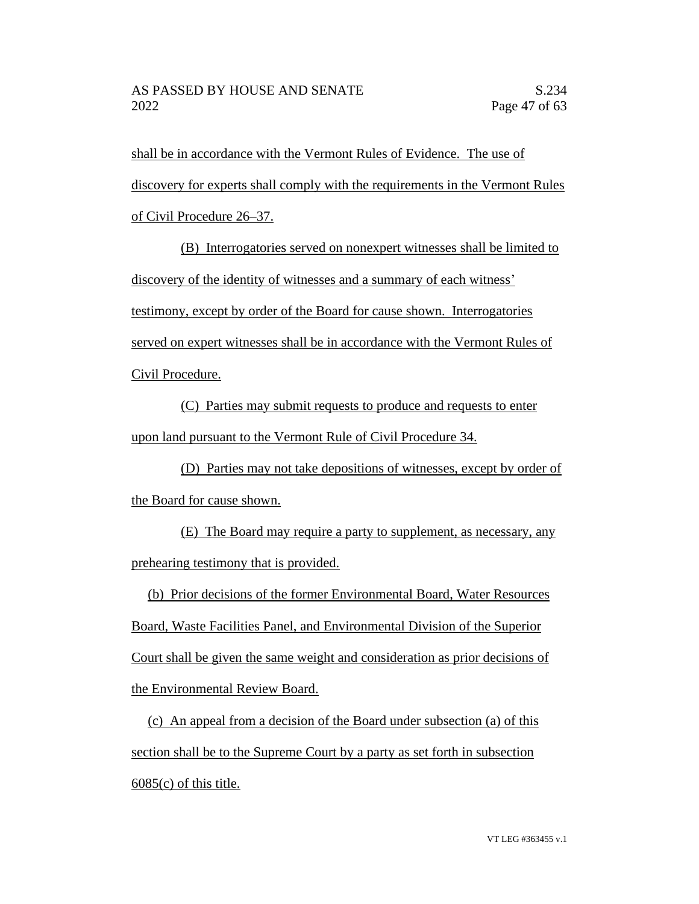shall be in accordance with the Vermont Rules of Evidence. The use of discovery for experts shall comply with the requirements in the Vermont Rules of Civil Procedure 26–37.

(B) Interrogatories served on nonexpert witnesses shall be limited to discovery of the identity of witnesses and a summary of each witness' testimony, except by order of the Board for cause shown. Interrogatories served on expert witnesses shall be in accordance with the Vermont Rules of Civil Procedure.

(C) Parties may submit requests to produce and requests to enter upon land pursuant to the Vermont Rule of Civil Procedure 34.

(D) Parties may not take depositions of witnesses, except by order of the Board for cause shown.

(E) The Board may require a party to supplement, as necessary, any prehearing testimony that is provided.

(b) Prior decisions of the former Environmental Board, Water Resources Board, Waste Facilities Panel, and Environmental Division of the Superior Court shall be given the same weight and consideration as prior decisions of the Environmental Review Board.

(c) An appeal from a decision of the Board under subsection (a) of this section shall be to the Supreme Court by a party as set forth in subsection  $6085(c)$  of this title.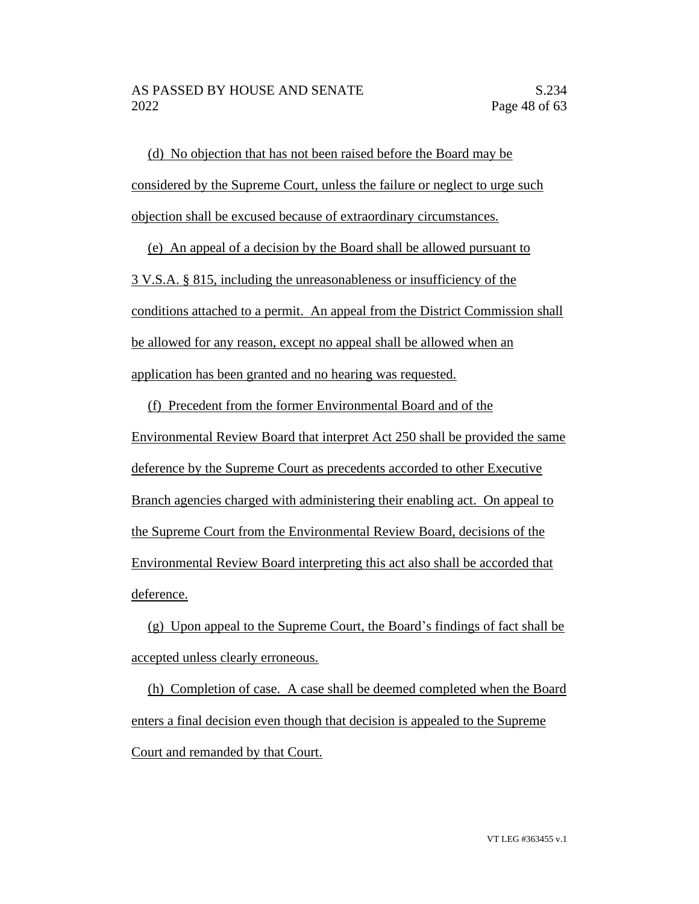(d) No objection that has not been raised before the Board may be considered by the Supreme Court, unless the failure or neglect to urge such objection shall be excused because of extraordinary circumstances.

(e) An appeal of a decision by the Board shall be allowed pursuant to 3 V.S.A. § 815, including the unreasonableness or insufficiency of the conditions attached to a permit. An appeal from the District Commission shall be allowed for any reason, except no appeal shall be allowed when an application has been granted and no hearing was requested.

(f) Precedent from the former Environmental Board and of the Environmental Review Board that interpret Act 250 shall be provided the same deference by the Supreme Court as precedents accorded to other Executive Branch agencies charged with administering their enabling act. On appeal to the Supreme Court from the Environmental Review Board, decisions of the Environmental Review Board interpreting this act also shall be accorded that deference.

(g) Upon appeal to the Supreme Court, the Board's findings of fact shall be accepted unless clearly erroneous.

(h) Completion of case. A case shall be deemed completed when the Board enters a final decision even though that decision is appealed to the Supreme Court and remanded by that Court.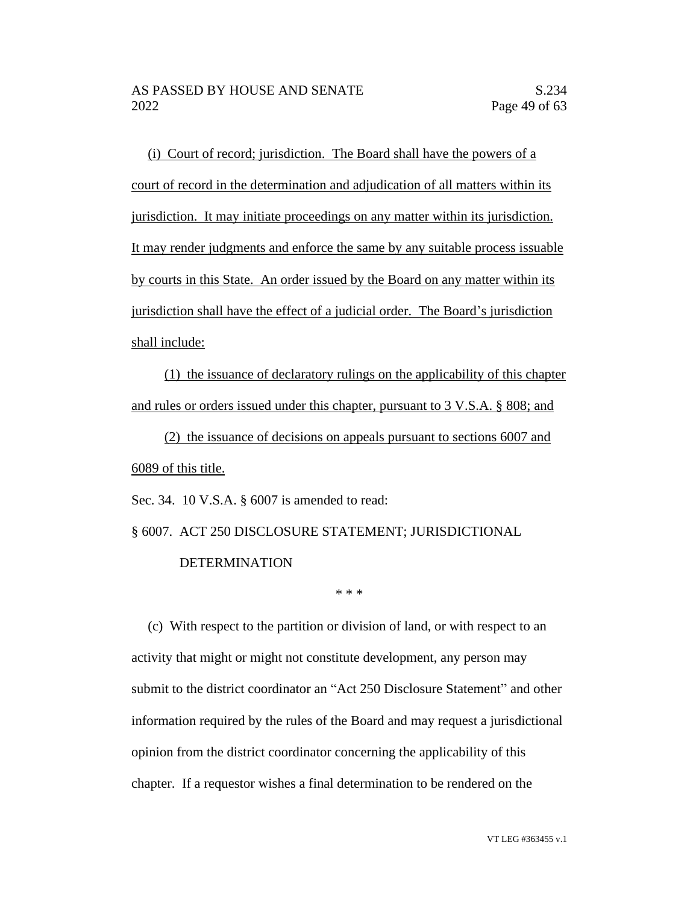(i) Court of record; jurisdiction. The Board shall have the powers of a court of record in the determination and adjudication of all matters within its jurisdiction. It may initiate proceedings on any matter within its jurisdiction. It may render judgments and enforce the same by any suitable process issuable by courts in this State. An order issued by the Board on any matter within its jurisdiction shall have the effect of a judicial order. The Board's jurisdiction shall include:

(1) the issuance of declaratory rulings on the applicability of this chapter and rules or orders issued under this chapter, pursuant to 3 V.S.A. § 808; and

(2) the issuance of decisions on appeals pursuant to sections 6007 and 6089 of this title.

Sec. 34. 10 V.S.A. § 6007 is amended to read:

§ 6007. ACT 250 DISCLOSURE STATEMENT; JURISDICTIONAL DETERMINATION

\* \* \*

(c) With respect to the partition or division of land, or with respect to an activity that might or might not constitute development, any person may submit to the district coordinator an "Act 250 Disclosure Statement" and other information required by the rules of the Board and may request a jurisdictional opinion from the district coordinator concerning the applicability of this chapter. If a requestor wishes a final determination to be rendered on the

VT LEG #363455 v.1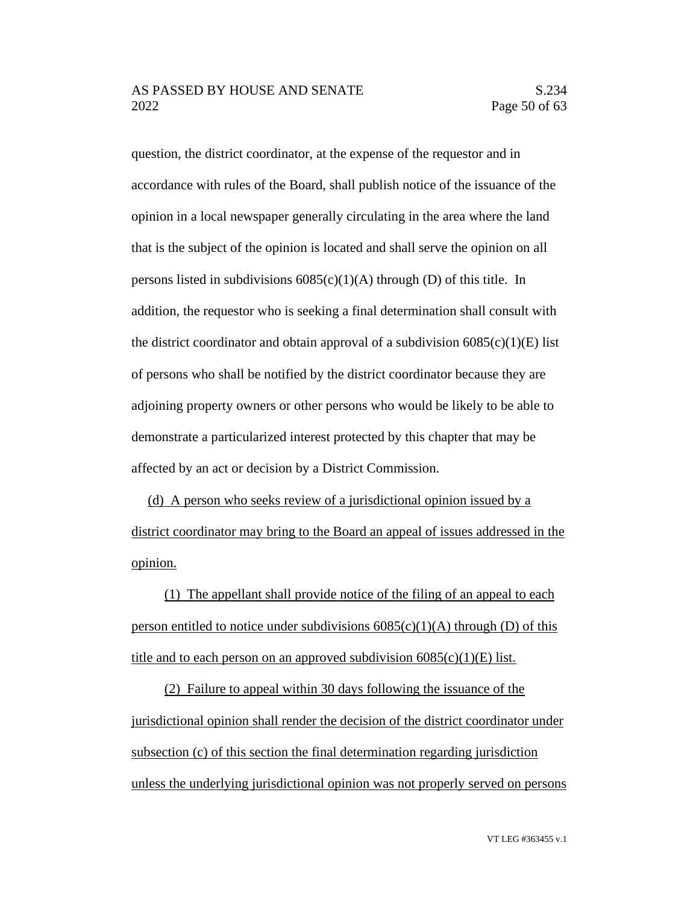question, the district coordinator, at the expense of the requestor and in accordance with rules of the Board, shall publish notice of the issuance of the opinion in a local newspaper generally circulating in the area where the land that is the subject of the opinion is located and shall serve the opinion on all persons listed in subdivisions  $6085(c)(1)(A)$  through (D) of this title. In addition, the requestor who is seeking a final determination shall consult with the district coordinator and obtain approval of a subdivision  $6085(c)(1)(E)$  list of persons who shall be notified by the district coordinator because they are adjoining property owners or other persons who would be likely to be able to demonstrate a particularized interest protected by this chapter that may be affected by an act or decision by a District Commission.

(d) A person who seeks review of a jurisdictional opinion issued by a district coordinator may bring to the Board an appeal of issues addressed in the opinion.

(1) The appellant shall provide notice of the filing of an appeal to each person entitled to notice under subdivisions  $6085(c)(1)(A)$  through (D) of this title and to each person on an approved subdivision  $6085(c)(1)(E)$  list.

(2) Failure to appeal within 30 days following the issuance of the jurisdictional opinion shall render the decision of the district coordinator under subsection (c) of this section the final determination regarding jurisdiction unless the underlying jurisdictional opinion was not properly served on persons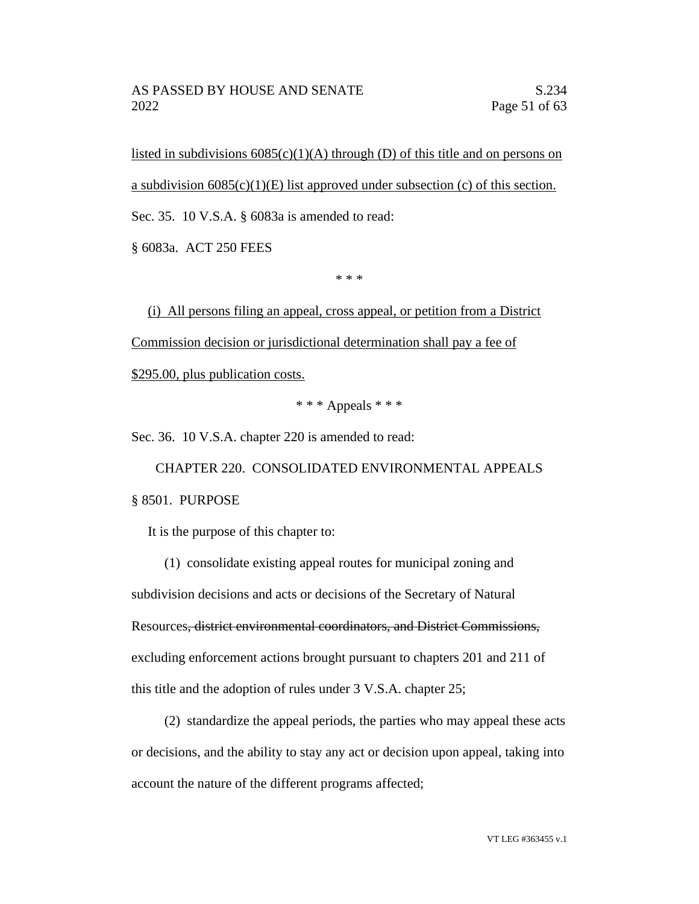listed in subdivisions  $6085(c)(1)(A)$  through (D) of this title and on persons on a subdivision  $6085(c)(1)(E)$  list approved under subsection (c) of this section. Sec. 35. 10 V.S.A. § 6083a is amended to read:

§ 6083a. ACT 250 FEES

\* \* \*

(i) All persons filing an appeal, cross appeal, or petition from a District Commission decision or jurisdictional determination shall pay a fee of \$295.00, plus publication costs.

 $***$  Appeals  $***$ 

Sec. 36. 10 V.S.A. chapter 220 is amended to read:

CHAPTER 220. CONSOLIDATED ENVIRONMENTAL APPEALS § 8501. PURPOSE

It is the purpose of this chapter to:

(1) consolidate existing appeal routes for municipal zoning and subdivision decisions and acts or decisions of the Secretary of Natural Resources, district environmental coordinators, and District Commissions, excluding enforcement actions brought pursuant to chapters 201 and 211 of this title and the adoption of rules under 3 V.S.A. chapter 25;

(2) standardize the appeal periods, the parties who may appeal these acts or decisions, and the ability to stay any act or decision upon appeal, taking into account the nature of the different programs affected;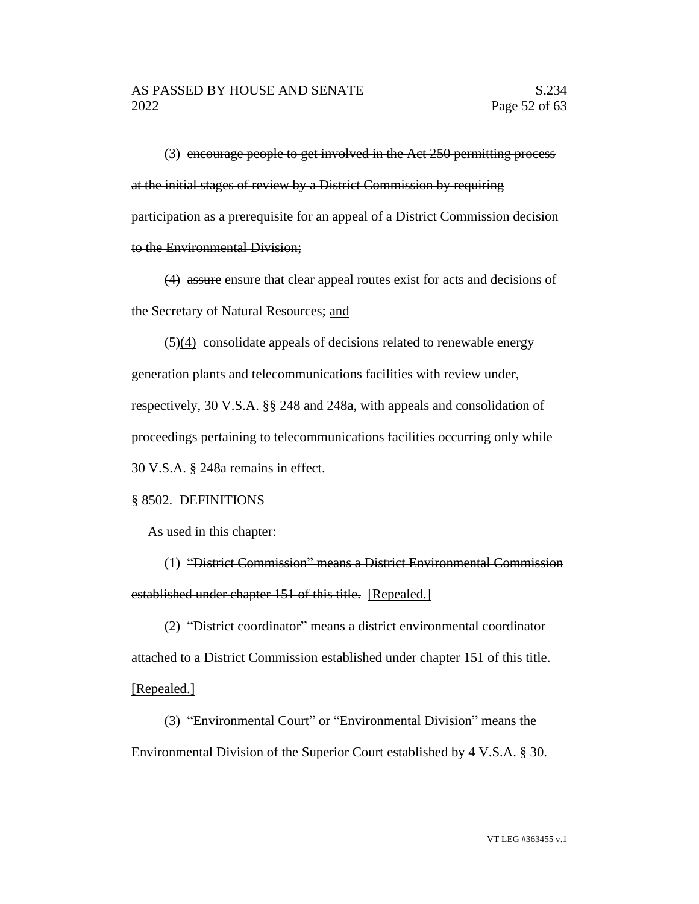(3) encourage people to get involved in the Act 250 permitting process at the initial stages of review by a District Commission by requiring participation as a prerequisite for an appeal of a District Commission decision to the Environmental Division;

(4) assure ensure that clear appeal routes exist for acts and decisions of the Secretary of Natural Resources; and

 $\left(5\right)(4)$  consolidate appeals of decisions related to renewable energy generation plants and telecommunications facilities with review under, respectively, 30 V.S.A. §§ 248 and 248a, with appeals and consolidation of proceedings pertaining to telecommunications facilities occurring only while 30 V.S.A. § 248a remains in effect.

## § 8502. DEFINITIONS

As used in this chapter:

(1) "District Commission" means a District Environmental Commission established under chapter 151 of this title. [Repealed.]

(2) "District coordinator" means a district environmental coordinator attached to a District Commission established under chapter 151 of this title. [Repealed.]

(3) "Environmental Court" or "Environmental Division" means the Environmental Division of the Superior Court established by 4 V.S.A. § 30.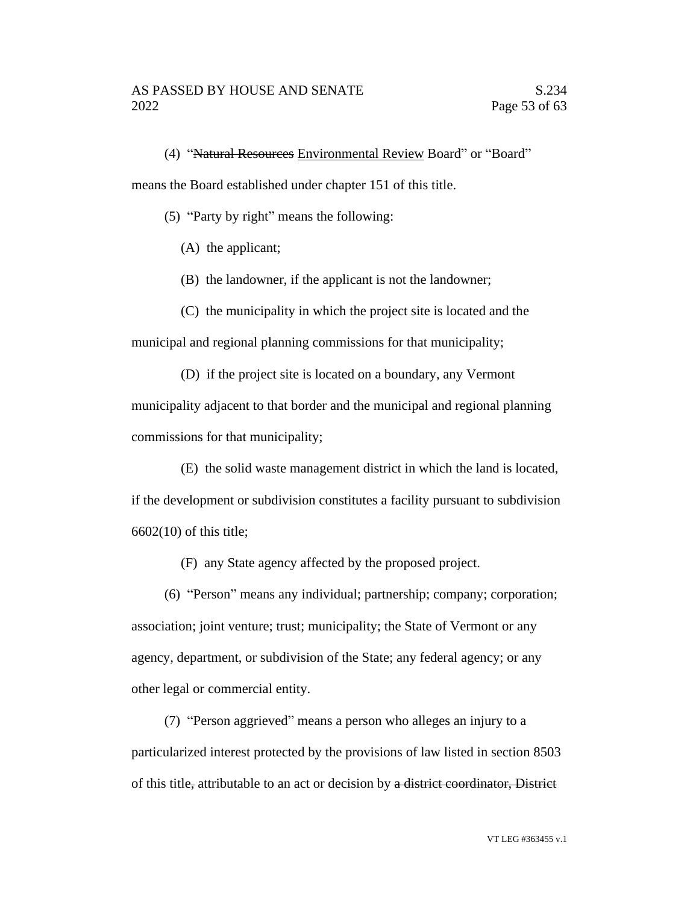(4) "Natural Resources Environmental Review Board" or "Board"

means the Board established under chapter 151 of this title.

(5) "Party by right" means the following:

(A) the applicant;

(B) the landowner, if the applicant is not the landowner;

(C) the municipality in which the project site is located and the municipal and regional planning commissions for that municipality;

(D) if the project site is located on a boundary, any Vermont municipality adjacent to that border and the municipal and regional planning commissions for that municipality;

(E) the solid waste management district in which the land is located,

if the development or subdivision constitutes a facility pursuant to subdivision 6602(10) of this title;

(F) any State agency affected by the proposed project.

(6) "Person" means any individual; partnership; company; corporation; association; joint venture; trust; municipality; the State of Vermont or any agency, department, or subdivision of the State; any federal agency; or any other legal or commercial entity.

(7) "Person aggrieved" means a person who alleges an injury to a particularized interest protected by the provisions of law listed in section 8503 of this title, attributable to an act or decision by a district coordinator, District

VT LEG #363455 v.1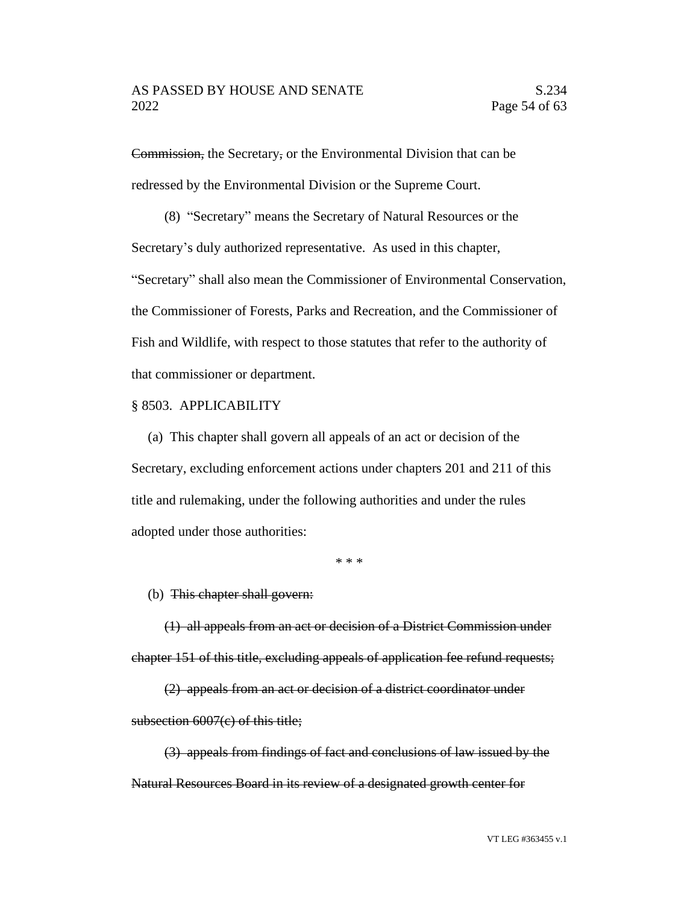Commission, the Secretary, or the Environmental Division that can be redressed by the Environmental Division or the Supreme Court.

(8) "Secretary" means the Secretary of Natural Resources or the Secretary's duly authorized representative. As used in this chapter, "Secretary" shall also mean the Commissioner of Environmental Conservation, the Commissioner of Forests, Parks and Recreation, and the Commissioner of Fish and Wildlife, with respect to those statutes that refer to the authority of that commissioner or department.

### § 8503. APPLICABILITY

(a) This chapter shall govern all appeals of an act or decision of the Secretary, excluding enforcement actions under chapters 201 and 211 of this title and rulemaking, under the following authorities and under the rules adopted under those authorities:

\* \* \*

### (b) This chapter shall govern:

(1) all appeals from an act or decision of a District Commission under chapter 151 of this title, excluding appeals of application fee refund requests;

(2) appeals from an act or decision of a district coordinator under subsection 6007(c) of this title;

(3) appeals from findings of fact and conclusions of law issued by the Natural Resources Board in its review of a designated growth center for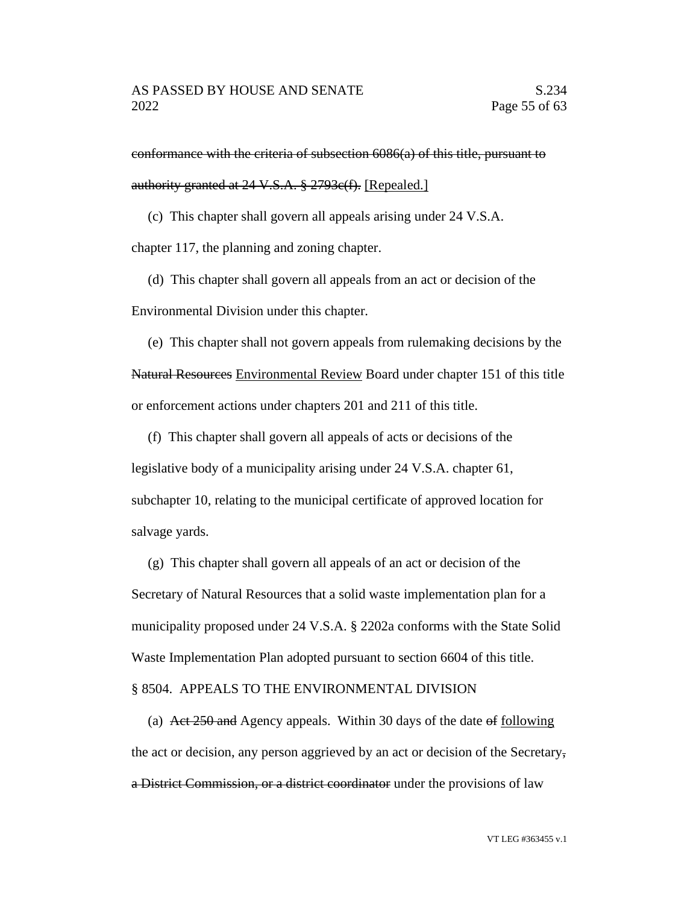conformance with the criteria of subsection 6086(a) of this title, pursuant to authority granted at 24 V.S.A. § 2793c(f). [Repealed.]

(c) This chapter shall govern all appeals arising under 24 V.S.A.

chapter 117, the planning and zoning chapter.

(d) This chapter shall govern all appeals from an act or decision of the Environmental Division under this chapter.

(e) This chapter shall not govern appeals from rulemaking decisions by the Natural Resources Environmental Review Board under chapter 151 of this title or enforcement actions under chapters 201 and 211 of this title.

(f) This chapter shall govern all appeals of acts or decisions of the legislative body of a municipality arising under 24 V.S.A. chapter 61, subchapter 10, relating to the municipal certificate of approved location for salvage yards.

(g) This chapter shall govern all appeals of an act or decision of the Secretary of Natural Resources that a solid waste implementation plan for a municipality proposed under 24 V.S.A. § 2202a conforms with the State Solid Waste Implementation Plan adopted pursuant to section 6604 of this title.

### § 8504. APPEALS TO THE ENVIRONMENTAL DIVISION

(a) Act 250 and Agency appeals. Within 30 days of the date of following the act or decision, any person aggrieved by an act or decision of the Secretary, a District Commission, or a district coordinator under the provisions of law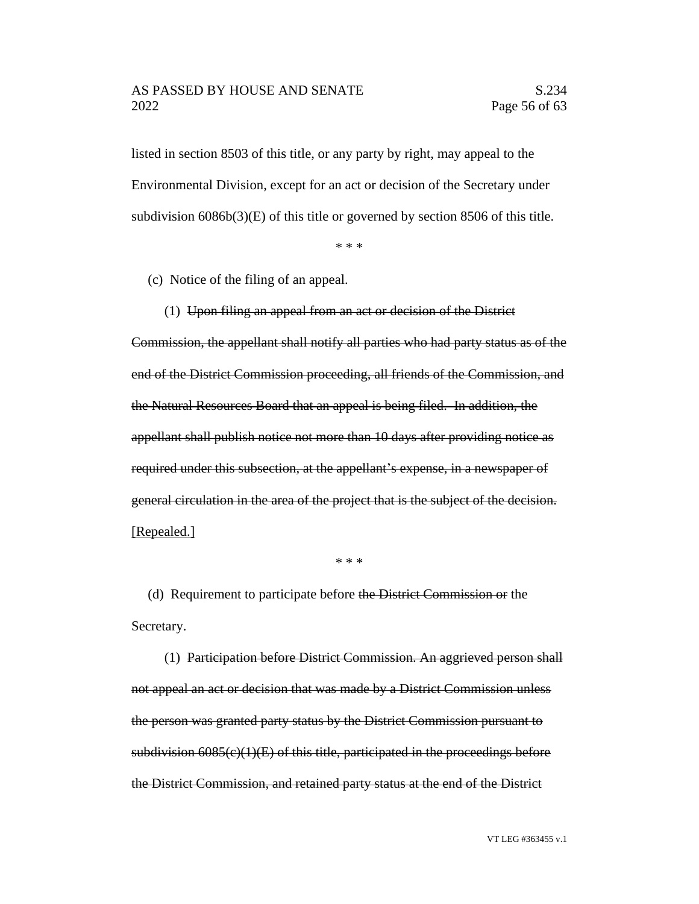listed in section 8503 of this title, or any party by right, may appeal to the Environmental Division, except for an act or decision of the Secretary under subdivision 6086b(3)(E) of this title or governed by section 8506 of this title.

\* \* \*

(c) Notice of the filing of an appeal.

(1) Upon filing an appeal from an act or decision of the District Commission, the appellant shall notify all parties who had party status as of the end of the District Commission proceeding, all friends of the Commission, and the Natural Resources Board that an appeal is being filed. In addition, the appellant shall publish notice not more than 10 days after providing notice as required under this subsection, at the appellant's expense, in a newspaper of general circulation in the area of the project that is the subject of the decision.

[Repealed.]

\* \* \*

(d) Requirement to participate before the District Commission or the Secretary.

(1) Participation before District Commission. An aggrieved person shall not appeal an act or decision that was made by a District Commission unless the person was granted party status by the District Commission pursuant to subdivision  $6085(c)(1)(E)$  of this title, participated in the proceedings before the District Commission, and retained party status at the end of the District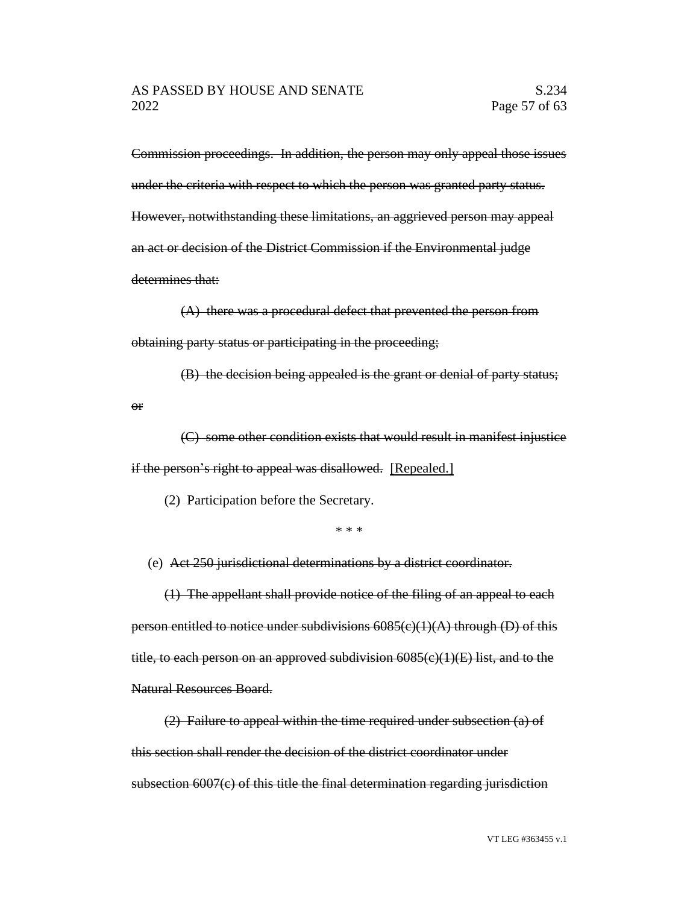Commission proceedings. In addition, the person may only appeal those issues under the criteria with respect to which the person was granted party status. However, notwithstanding these limitations, an aggrieved person may appeal an act or decision of the District Commission if the Environmental judge determines that:

(A) there was a procedural defect that prevented the person from obtaining party status or participating in the proceeding;

(B) the decision being appealed is the grant or denial of party status;

(C) some other condition exists that would result in manifest injustice if the person's right to appeal was disallowed. [Repealed.]

(2) Participation before the Secretary.

or

\* \* \*

(e) Act 250 jurisdictional determinations by a district coordinator.

(1) The appellant shall provide notice of the filing of an appeal to each person entitled to notice under subdivisions  $6085(c)(1)(A)$  through (D) of this title, to each person on an approved subdivision  $6085(c)(1)(E)$  list, and to the Natural Resources Board.

(2) Failure to appeal within the time required under subsection (a) of this section shall render the decision of the district coordinator under subsection 6007(c) of this title the final determination regarding jurisdiction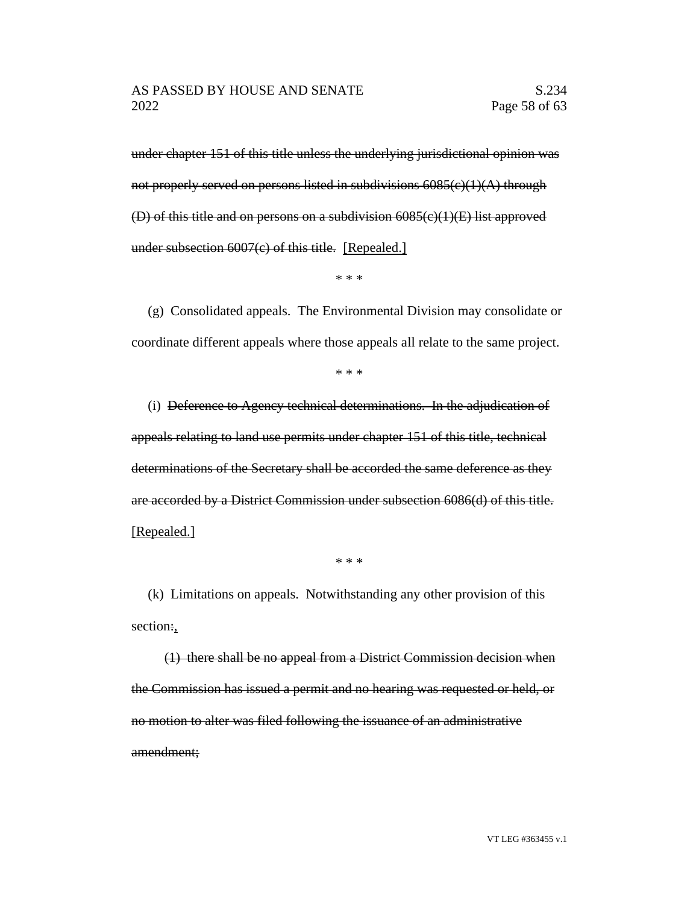under chapter 151 of this title unless the underlying jurisdictional opinion was not properly served on persons listed in subdivisions  $6085(c)(1)(A)$  through (D) of this title and on persons on a subdivision 6085(c)(1)(E) list approved under subsection 6007(c) of this title. [Repealed.]

\* \* \*

(g) Consolidated appeals. The Environmental Division may consolidate or coordinate different appeals where those appeals all relate to the same project.

\* \* \*

(i) Deference to Agency technical determinations. In the adjudication of appeals relating to land use permits under chapter 151 of this title, technical determinations of the Secretary shall be accorded the same deference as they are accorded by a District Commission under subsection 6086(d) of this title. [Repealed.]

\* \* \*

(k) Limitations on appeals. Notwithstanding any other provision of this section:,

(1) there shall be no appeal from a District Commission decision when the Commission has issued a permit and no hearing was requested or held, or no motion to alter was filed following the issuance of an administrative amendment;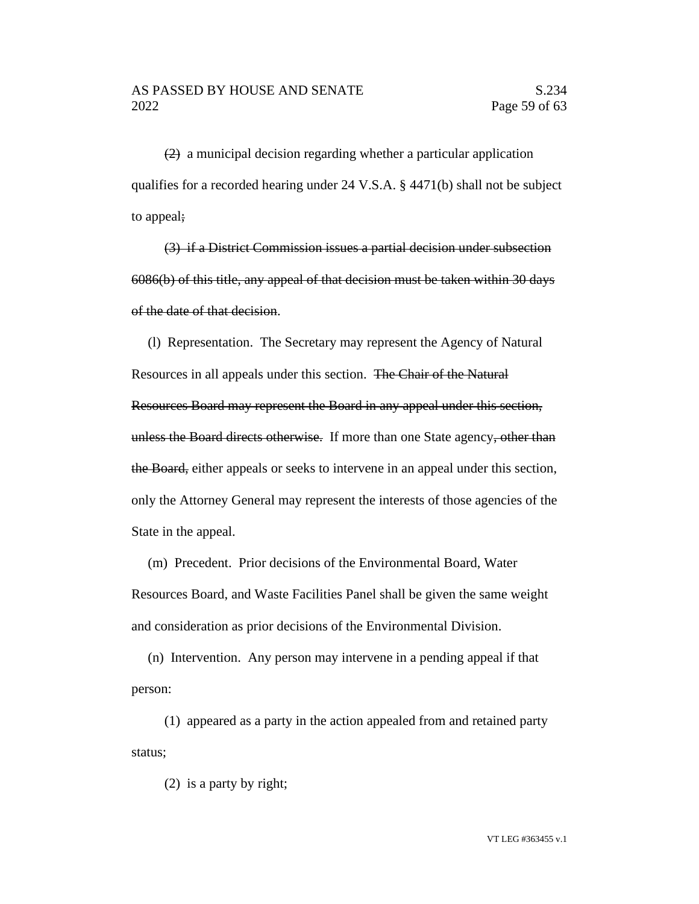(2) a municipal decision regarding whether a particular application qualifies for a recorded hearing under 24 V.S.A. § 4471(b) shall not be subject to appeal;

(3) if a District Commission issues a partial decision under subsection 6086(b) of this title, any appeal of that decision must be taken within 30 days of the date of that decision.

(l) Representation. The Secretary may represent the Agency of Natural Resources in all appeals under this section. The Chair of the Natural Resources Board may represent the Board in any appeal under this section, unless the Board directs otherwise. If more than one State agency, other than the Board, either appeals or seeks to intervene in an appeal under this section, only the Attorney General may represent the interests of those agencies of the State in the appeal.

(m) Precedent. Prior decisions of the Environmental Board, Water Resources Board, and Waste Facilities Panel shall be given the same weight and consideration as prior decisions of the Environmental Division.

(n) Intervention. Any person may intervene in a pending appeal if that person:

(1) appeared as a party in the action appealed from and retained party status;

(2) is a party by right;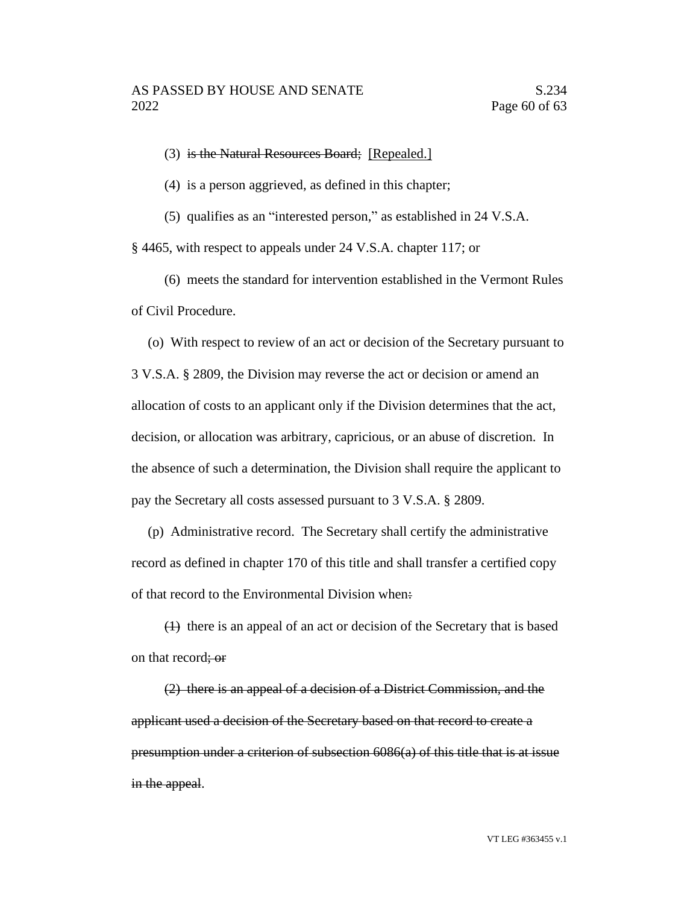(3) is the Natural Resources Board; [Repealed.]

(4) is a person aggrieved, as defined in this chapter;

(5) qualifies as an "interested person," as established in 24 V.S.A.

§ 4465, with respect to appeals under 24 V.S.A. chapter 117; or

(6) meets the standard for intervention established in the Vermont Rules of Civil Procedure.

(o) With respect to review of an act or decision of the Secretary pursuant to 3 V.S.A. § 2809, the Division may reverse the act or decision or amend an allocation of costs to an applicant only if the Division determines that the act, decision, or allocation was arbitrary, capricious, or an abuse of discretion. In the absence of such a determination, the Division shall require the applicant to pay the Secretary all costs assessed pursuant to 3 V.S.A. § 2809.

(p) Administrative record. The Secretary shall certify the administrative record as defined in chapter 170 of this title and shall transfer a certified copy of that record to the Environmental Division when:

(1) there is an appeal of an act or decision of the Secretary that is based on that record; or

(2) there is an appeal of a decision of a District Commission, and the applicant used a decision of the Secretary based on that record to create a presumption under a criterion of subsection 6086(a) of this title that is at issue in the appeal.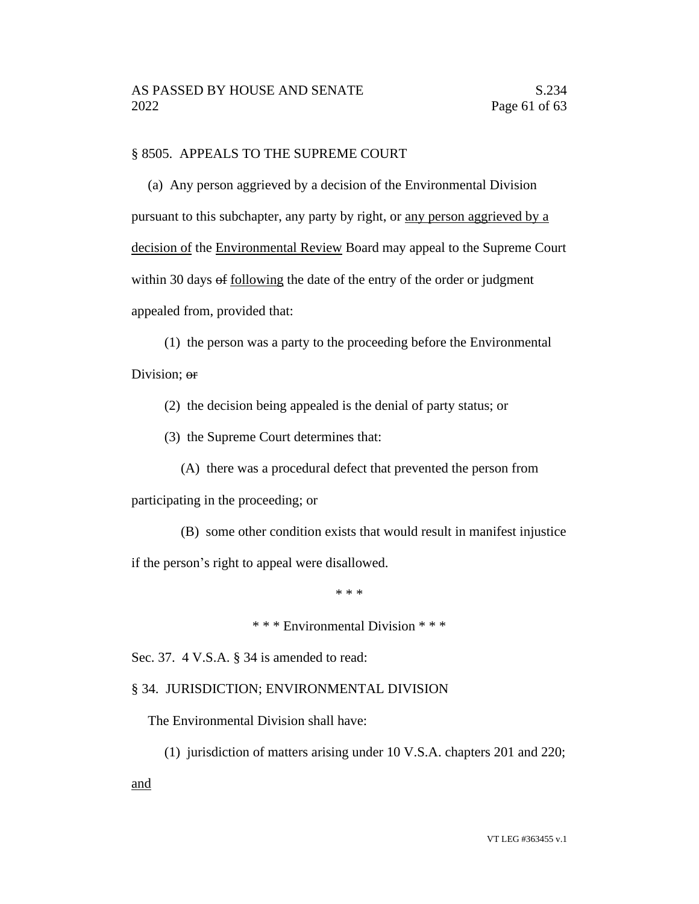## § 8505. APPEALS TO THE SUPREME COURT

(a) Any person aggrieved by a decision of the Environmental Division pursuant to this subchapter, any party by right, or any person aggrieved by a decision of the Environmental Review Board may appeal to the Supreme Court within 30 days of following the date of the entry of the order or judgment appealed from, provided that:

(1) the person was a party to the proceeding before the Environmental Division; or

(2) the decision being appealed is the denial of party status; or

(3) the Supreme Court determines that:

(A) there was a procedural defect that prevented the person from

participating in the proceeding; or

(B) some other condition exists that would result in manifest injustice

if the person's right to appeal were disallowed.

\* \* \*

\* \* \* Environmental Division \* \* \*

Sec. 37. 4 V.S.A. § 34 is amended to read:

### § 34. JURISDICTION; ENVIRONMENTAL DIVISION

The Environmental Division shall have:

(1) jurisdiction of matters arising under 10 V.S.A. chapters 201 and 220;

and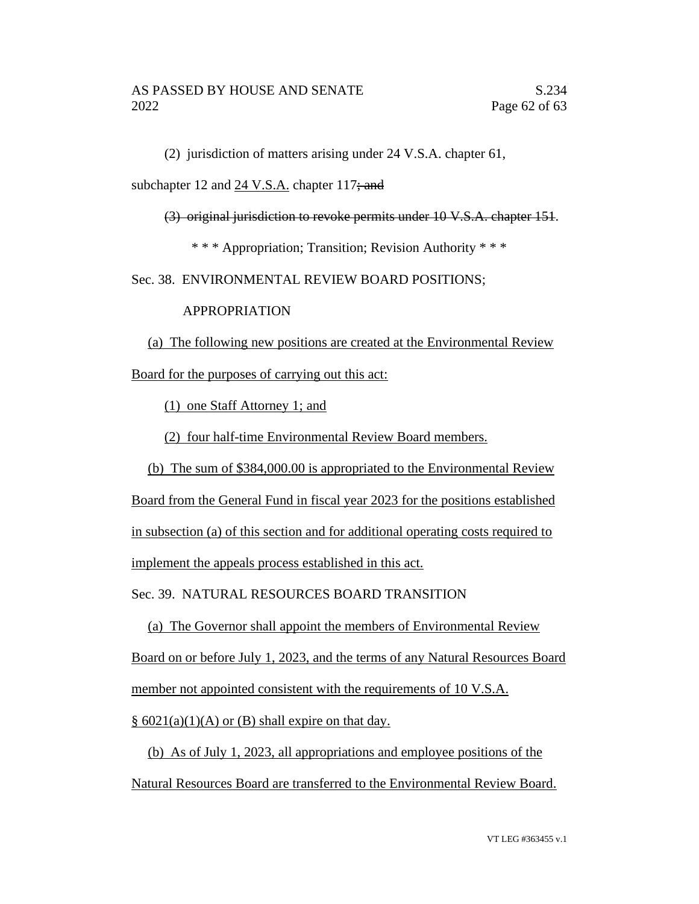(2) jurisdiction of matters arising under 24 V.S.A. chapter 61,

subchapter 12 and 24 V.S.A. chapter 117; and

(3) original jurisdiction to revoke permits under 10 V.S.A. chapter 151.

\* \* \* Appropriation; Transition; Revision Authority \* \* \*

Sec. 38. ENVIRONMENTAL REVIEW BOARD POSITIONS;

# APPROPRIATION

(a) The following new positions are created at the Environmental Review Board for the purposes of carrying out this act:

(1) one Staff Attorney 1; and

(2) four half-time Environmental Review Board members.

(b) The sum of \$384,000.00 is appropriated to the Environmental Review

Board from the General Fund in fiscal year 2023 for the positions established in subsection (a) of this section and for additional operating costs required to implement the appeals process established in this act.

Sec. 39. NATURAL RESOURCES BOARD TRANSITION

(a) The Governor shall appoint the members of Environmental Review Board on or before July 1, 2023, and the terms of any Natural Resources Board member not appointed consistent with the requirements of 10 V.S.A.  $\S$  6021(a)(1)(A) or (B) shall expire on that day.

(b) As of July 1, 2023, all appropriations and employee positions of the Natural Resources Board are transferred to the Environmental Review Board.